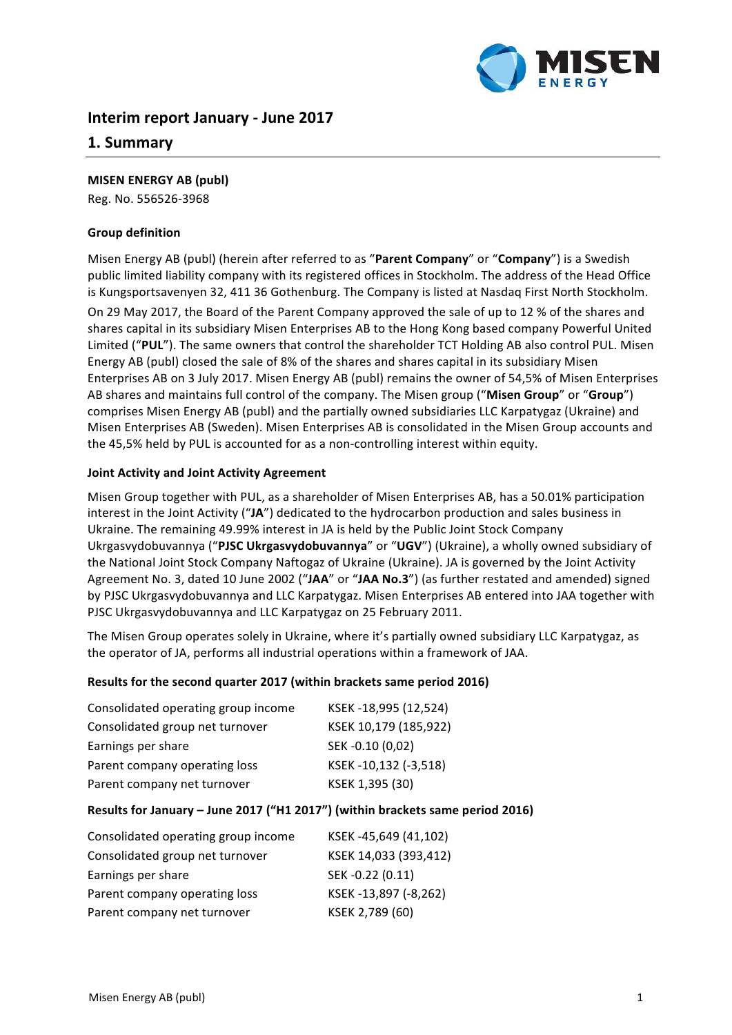

# **Interim report January - June 2017**

## **1. Summary**

#### **MISEN ENERGY AB (publ)**

Reg. No. 556526-3968

#### **Group definition**

Misen Energy AB (publ) (herein after referred to as "Parent Company" or "Company") is a Swedish public limited liability company with its registered offices in Stockholm. The address of the Head Office is Kungsportsavenyen 32, 411 36 Gothenburg. The Company is listed at Nasdaq First North Stockholm.

On 29 May 2017, the Board of the Parent Company approved the sale of up to 12 % of the shares and shares capital in its subsidiary Misen Enterprises AB to the Hong Kong based company Powerful United Limited ("PUL"). The same owners that control the shareholder TCT Holding AB also control PUL. Misen Energy AB (publ) closed the sale of 8% of the shares and shares capital in its subsidiary Misen Enterprises AB on 3 July 2017. Misen Energy AB (publ) remains the owner of 54,5% of Misen Enterprises AB shares and maintains full control of the company. The Misen group ("Misen Group" or "Group") comprises Misen Energy AB (publ) and the partially owned subsidiaries LLC Karpatygaz (Ukraine) and Misen Enterprises AB (Sweden). Misen Enterprises AB is consolidated in the Misen Group accounts and the 45,5% held by PUL is accounted for as a non-controlling interest within equity.

#### **Joint Activity and Joint Activity Agreement**

Misen Group together with PUL, as a shareholder of Misen Enterprises AB, has a 50.01% participation interest in the Joint Activity ("JA") dedicated to the hydrocarbon production and sales business in Ukraine. The remaining 49.99% interest in JA is held by the Public Joint Stock Company Ukrgasvydobuvannya ("PJSC Ukrgasvydobuvannya" or "UGV") (Ukraine), a wholly owned subsidiary of the National Joint Stock Company Naftogaz of Ukraine (Ukraine). JA is governed by the Joint Activity Agreement No. 3, dated 10 June 2002 ("JAA" or "JAA No.3") (as further restated and amended) signed by PJSC Ukrgasvydobuvannya and LLC Karpatygaz. Misen Enterprises AB entered into JAA together with PJSC Ukrgasvydobuvannya and LLC Karpatygaz on 25 February 2011.

The Misen Group operates solely in Ukraine, where it's partially owned subsidiary LLC Karpatygaz, as the operator of JA, performs all industrial operations within a framework of JAA.

#### **Results for the second quarter 2017 (within brackets same period 2016)**

| Consolidated operating group income | KSEK-18,995 (12,524)  |
|-------------------------------------|-----------------------|
| Consolidated group net turnover     | KSEK 10,179 (185,922) |
| Earnings per share                  | SEK-0.10 (0,02)       |
| Parent company operating loss       | KSEK-10,132 (-3,518)  |
| Parent company net turnover         | KSEK 1,395 (30)       |

#### **Results for January - June 2017 ("H1 2017") (within brackets same period 2016)**

| Consolidated operating group income | KSEK-45,649 (41,102)  |
|-------------------------------------|-----------------------|
| Consolidated group net turnover     | KSEK 14,033 (393,412) |
| Earnings per share                  | SEK-0.22 (0.11)       |
| Parent company operating loss       | KSEK-13,897 (-8,262)  |
| Parent company net turnover         | KSEK 2,789 (60)       |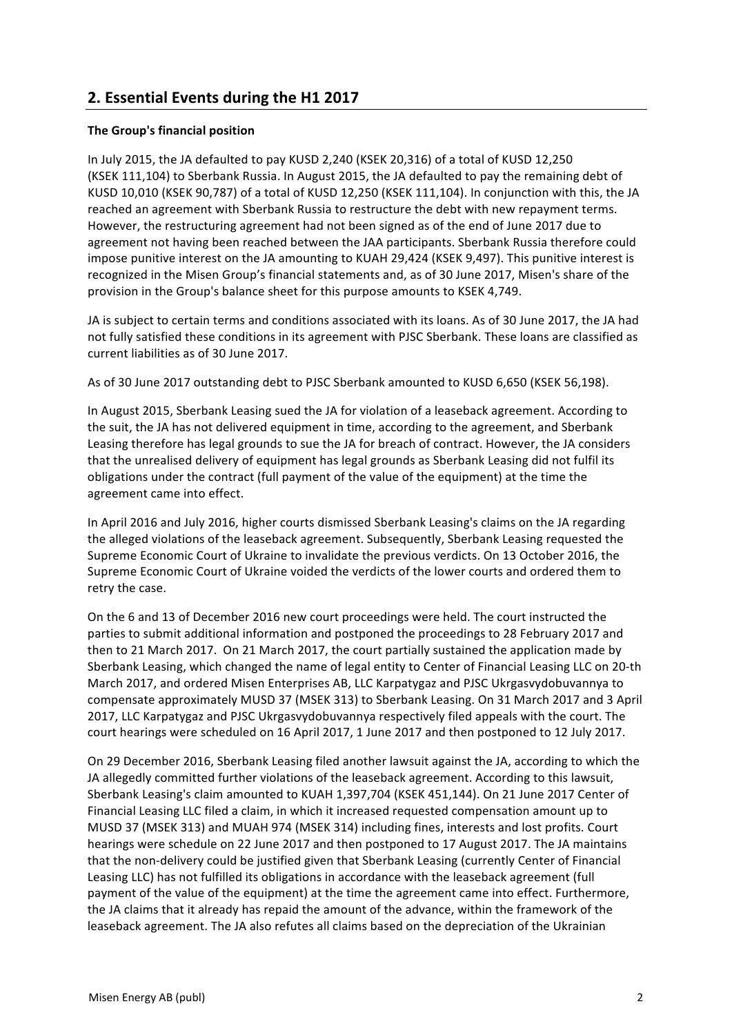# **2. Essential Events during the H1 2017**

#### **The Group's financial position**

In July 2015, the JA defaulted to pay KUSD 2,240 (KSEK 20,316) of a total of KUSD 12,250 (KSEK 111,104) to Sberbank Russia. In August 2015, the JA defaulted to pay the remaining debt of KUSD 10,010 (KSEK 90,787) of a total of KUSD 12,250 (KSEK 111,104). In conjunction with this, the JA reached an agreement with Sberbank Russia to restructure the debt with new repayment terms. However, the restructuring agreement had not been signed as of the end of June 2017 due to agreement not having been reached between the JAA participants. Sberbank Russia therefore could impose punitive interest on the JA amounting to KUAH 29,424 (KSEK 9,497). This punitive interest is recognized in the Misen Group's financial statements and, as of 30 June 2017, Misen's share of the provision in the Group's balance sheet for this purpose amounts to KSEK 4,749.

JA is subject to certain terms and conditions associated with its loans. As of 30 June 2017, the JA had not fully satisfied these conditions in its agreement with PJSC Sberbank. These loans are classified as current liabilities as of 30 June 2017.

As of 30 June 2017 outstanding debt to PJSC Sberbank amounted to KUSD 6,650 (KSEK 56,198).

In August 2015, Sberbank Leasing sued the JA for violation of a leaseback agreement. According to the suit, the JA has not delivered equipment in time, according to the agreement, and Sberbank Leasing therefore has legal grounds to sue the JA for breach of contract. However, the JA considers that the unrealised delivery of equipment has legal grounds as Sberbank Leasing did not fulfil its obligations under the contract (full payment of the value of the equipment) at the time the agreement came into effect.

In April 2016 and July 2016, higher courts dismissed Sberbank Leasing's claims on the JA regarding the alleged violations of the leaseback agreement. Subsequently, Sberbank Leasing requested the Supreme Economic Court of Ukraine to invalidate the previous verdicts. On 13 October 2016, the Supreme Economic Court of Ukraine voided the verdicts of the lower courts and ordered them to retry the case.

On the 6 and 13 of December 2016 new court proceedings were held. The court instructed the parties to submit additional information and postponed the proceedings to 28 February 2017 and then to 21 March 2017. On 21 March 2017, the court partially sustained the application made by Sberbank Leasing, which changed the name of legal entity to Center of Financial Leasing LLC on 20-th March 2017, and ordered Misen Enterprises AB, LLC Karpatygaz and PJSC Ukrgasvydobuvannya to compensate approximately MUSD 37 (MSEK 313) to Sberbank Leasing. On 31 March 2017 and 3 April 2017, LLC Karpatygaz and PJSC Ukrgasvydobuvannya respectively filed appeals with the court. The court hearings were scheduled on 16 April 2017, 1 June 2017 and then postponed to 12 July 2017.

On 29 December 2016, Sberbank Leasing filed another lawsuit against the JA, according to which the JA allegedly committed further violations of the leaseback agreement. According to this lawsuit, Sberbank Leasing's claim amounted to KUAH 1,397,704 (KSEK 451,144). On 21 June 2017 Center of Financial Leasing LLC filed a claim, in which it increased requested compensation amount up to MUSD 37 (MSEK 313) and MUAH 974 (MSEK 314) including fines, interests and lost profits. Court hearings were schedule on 22 June 2017 and then postponed to 17 August 2017. The JA maintains that the non-delivery could be justified given that Sberbank Leasing (currently Center of Financial Leasing LLC) has not fulfilled its obligations in accordance with the leaseback agreement (full payment of the value of the equipment) at the time the agreement came into effect. Furthermore, the JA claims that it already has repaid the amount of the advance, within the framework of the leaseback agreement. The JA also refutes all claims based on the depreciation of the Ukrainian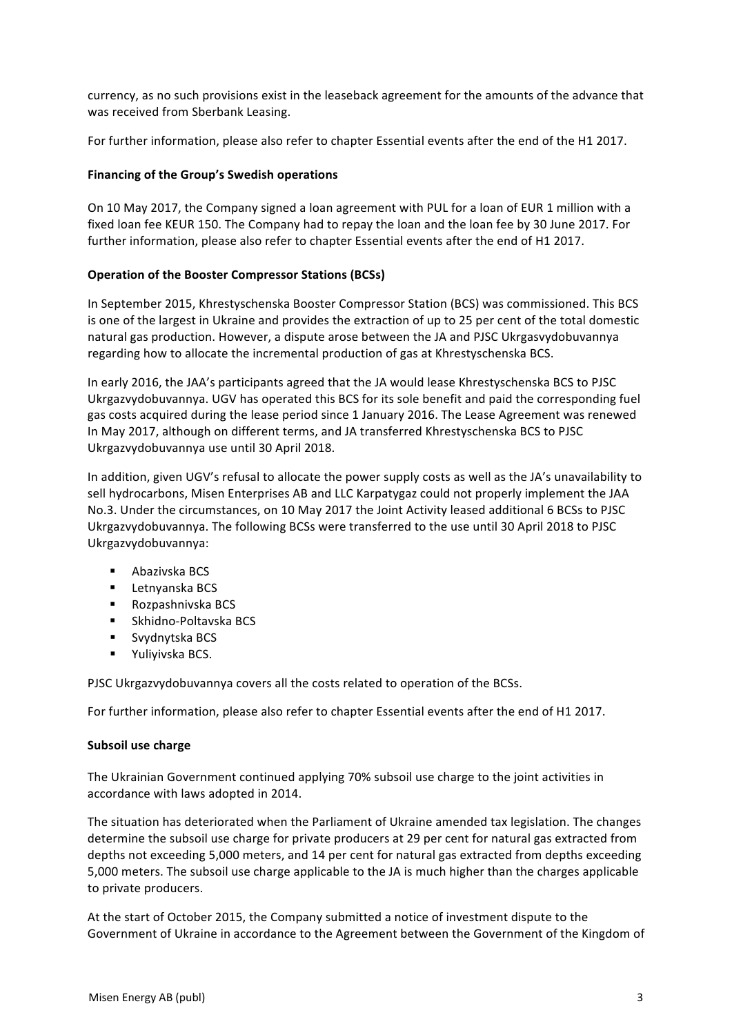currency, as no such provisions exist in the leaseback agreement for the amounts of the advance that was received from Sberbank Leasing.

For further information, please also refer to chapter Essential events after the end of the H1 2017.

#### **Financing of the Group's Swedish operations**

On 10 May 2017, the Company signed a loan agreement with PUL for a loan of EUR 1 million with a fixed loan fee KEUR 150. The Company had to repay the loan and the loan fee by 30 June 2017. For further information, please also refer to chapter Essential events after the end of H1 2017.

## **Operation of the Booster Compressor Stations (BCSs)**

In September 2015, Khrestyschenska Booster Compressor Station (BCS) was commissioned. This BCS is one of the largest in Ukraine and provides the extraction of up to 25 per cent of the total domestic natural gas production. However, a dispute arose between the JA and PJSC Ukrgasvydobuvannya regarding how to allocate the incremental production of gas at Khrestyschenska BCS.

In early 2016, the JAA's participants agreed that the JA would lease Khrestyschenska BCS to PJSC Ukrgazvydobuvannya. UGV has operated this BCS for its sole benefit and paid the corresponding fuel gas costs acquired during the lease period since 1 January 2016. The Lease Agreement was renewed In May 2017, although on different terms, and JA transferred Khrestyschenska BCS to PJSC Ukrgazvydobuvannya use until 30 April 2018.

In addition, given UGV's refusal to allocate the power supply costs as well as the JA's unavailability to sell hydrocarbons, Misen Enterprises AB and LLC Karpatygaz could not properly implement the JAA No.3. Under the circumstances, on 10 May 2017 the Joint Activity leased additional 6 BCSs to PJSC Ukrgazvydobuvannya. The following BCSs were transferred to the use until 30 April 2018 to PJSC Ukrgazvydobuvannya:

- Abazivska BCS
- Letnyanska BCS
- Rozpashnivska BCS
- Skhidno-Poltavska BCS
- Svydnytska BCS
- Yuliyivska BCS.

PJSC Ukrgazvydobuvannya covers all the costs related to operation of the BCSs.

For further information, please also refer to chapter Essential events after the end of H1 2017.

#### **Subsoil use charge**

The Ukrainian Government continued applying 70% subsoil use charge to the joint activities in accordance with laws adopted in 2014.

The situation has deteriorated when the Parliament of Ukraine amended tax legislation. The changes determine the subsoil use charge for private producers at 29 per cent for natural gas extracted from depths not exceeding 5,000 meters, and 14 per cent for natural gas extracted from depths exceeding 5,000 meters. The subsoil use charge applicable to the JA is much higher than the charges applicable to private producers.

At the start of October 2015, the Company submitted a notice of investment dispute to the Government of Ukraine in accordance to the Agreement between the Government of the Kingdom of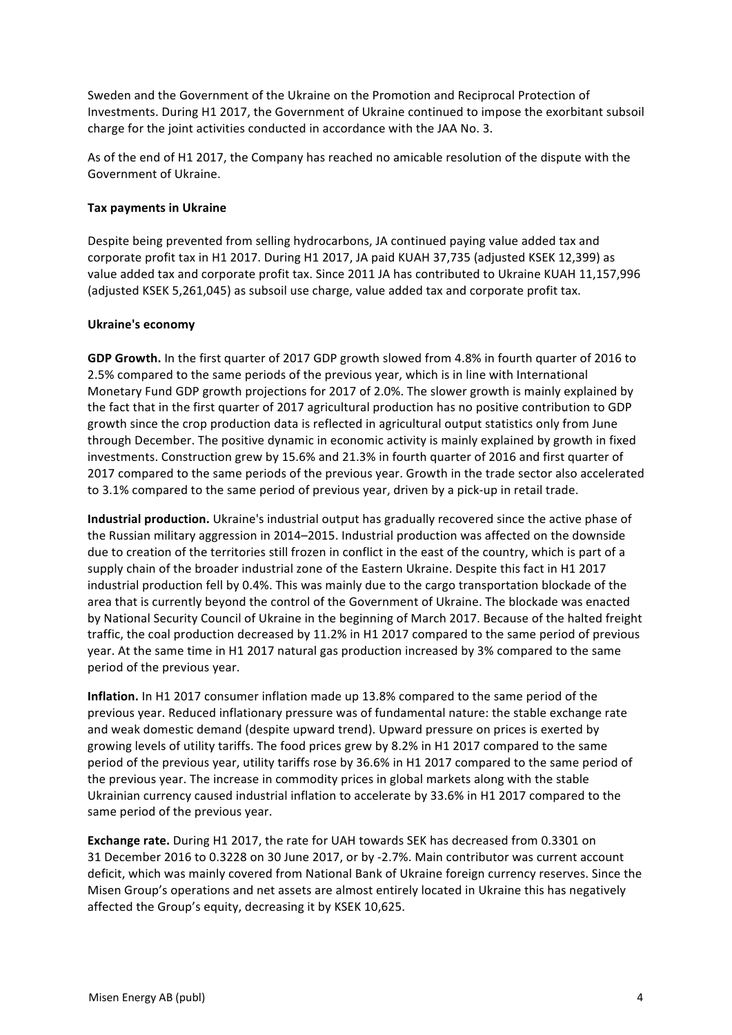Sweden and the Government of the Ukraine on the Promotion and Reciprocal Protection of Investments. During H1 2017, the Government of Ukraine continued to impose the exorbitant subsoil charge for the joint activities conducted in accordance with the JAA No. 3.

As of the end of H1 2017, the Company has reached no amicable resolution of the dispute with the Government of Ukraine.

#### **Tax payments in Ukraine**

Despite being prevented from selling hydrocarbons, JA continued paying value added tax and corporate profit tax in H1 2017. During H1 2017, JA paid KUAH 37,735 (adjusted KSEK 12,399) as value added tax and corporate profit tax. Since 2011 JA has contributed to Ukraine KUAH 11,157,996 (adjusted KSEK 5,261,045) as subsoil use charge, value added tax and corporate profit tax.

## **Ukraine's economy**

**GDP Growth.** In the first quarter of 2017 GDP growth slowed from 4.8% in fourth quarter of 2016 to 2.5% compared to the same periods of the previous year, which is in line with International Monetary Fund GDP growth projections for 2017 of 2.0%. The slower growth is mainly explained by the fact that in the first quarter of 2017 agricultural production has no positive contribution to GDP growth since the crop production data is reflected in agricultural output statistics only from June through December. The positive dynamic in economic activity is mainly explained by growth in fixed investments. Construction grew by 15.6% and 21.3% in fourth quarter of 2016 and first quarter of 2017 compared to the same periods of the previous year. Growth in the trade sector also accelerated to 3.1% compared to the same period of previous year, driven by a pick-up in retail trade.

**Industrial production.** Ukraine's industrial output has gradually recovered since the active phase of the Russian military aggression in 2014–2015. Industrial production was affected on the downside due to creation of the territories still frozen in conflict in the east of the country, which is part of a supply chain of the broader industrial zone of the Eastern Ukraine. Despite this fact in H1 2017 industrial production fell by 0.4%. This was mainly due to the cargo transportation blockade of the area that is currently beyond the control of the Government of Ukraine. The blockade was enacted by National Security Council of Ukraine in the beginning of March 2017. Because of the halted freight traffic, the coal production decreased by 11.2% in H1 2017 compared to the same period of previous year. At the same time in H1 2017 natural gas production increased by 3% compared to the same period of the previous year.

**Inflation.** In H1 2017 consumer inflation made up 13.8% compared to the same period of the previous year. Reduced inflationary pressure was of fundamental nature: the stable exchange rate and weak domestic demand (despite upward trend). Upward pressure on prices is exerted by growing levels of utility tariffs. The food prices grew by 8.2% in H1 2017 compared to the same period of the previous year, utility tariffs rose by 36.6% in H1 2017 compared to the same period of the previous year. The increase in commodity prices in global markets along with the stable Ukrainian currency caused industrial inflation to accelerate by 33.6% in H1 2017 compared to the same period of the previous year.

**Exchange rate.** During H1 2017, the rate for UAH towards SEK has decreased from 0.3301 on 31 December 2016 to 0.3228 on 30 June 2017, or by -2.7%. Main contributor was current account deficit, which was mainly covered from National Bank of Ukraine foreign currency reserves. Since the Misen Group's operations and net assets are almost entirely located in Ukraine this has negatively affected the Group's equity, decreasing it by KSEK 10,625.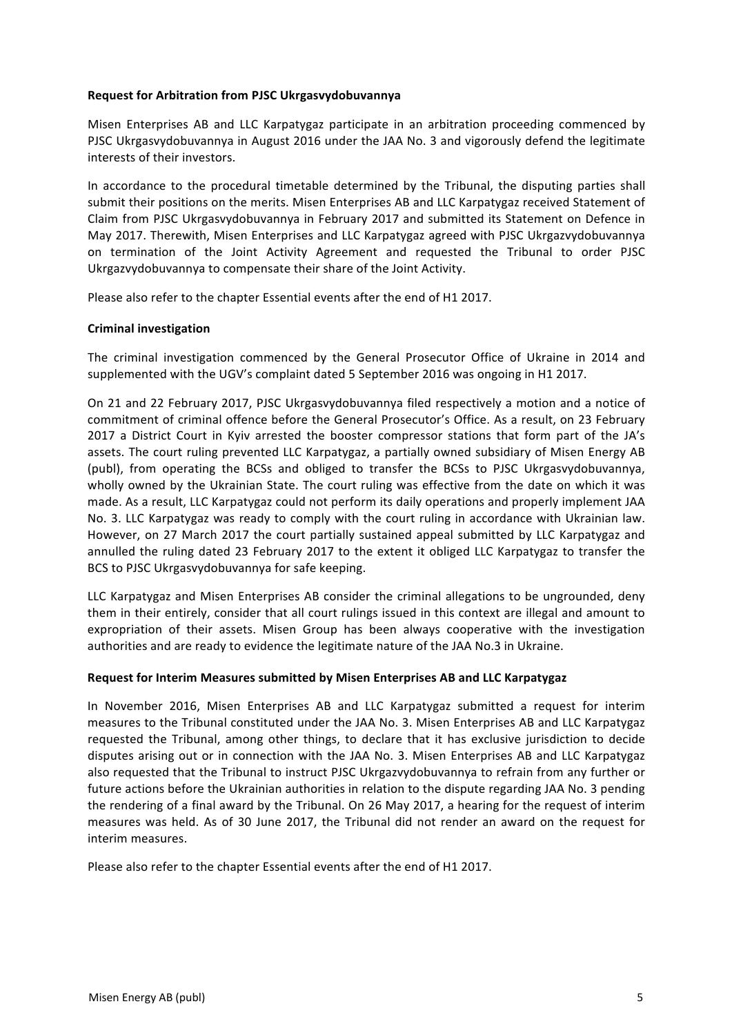#### **Request for Arbitration from PJSC Ukrgasvydobuvannya**

Misen Enterprises AB and LLC Karpatygaz participate in an arbitration proceeding commenced by PJSC Ukrgasvydobuvannya in August 2016 under the JAA No. 3 and vigorously defend the legitimate interests of their investors.

In accordance to the procedural timetable determined by the Tribunal, the disputing parties shall submit their positions on the merits. Misen Enterprises AB and LLC Karpatygaz received Statement of Claim from PJSC Ukrgasvydobuvannya in February 2017 and submitted its Statement on Defence in May 2017. Therewith, Misen Enterprises and LLC Karpatygaz agreed with PJSC Ukrgazvydobuvannya on termination of the Joint Activity Agreement and requested the Tribunal to order PJSC Ukrgazvydobuvannya to compensate their share of the Joint Activity.

Please also refer to the chapter Essential events after the end of H1 2017.

#### **Criminal investigation**

The criminal investigation commenced by the General Prosecutor Office of Ukraine in 2014 and supplemented with the UGV's complaint dated 5 September 2016 was ongoing in H1 2017.

On 21 and 22 February 2017, PJSC Ukrgasvydobuvannya filed respectively a motion and a notice of commitment of criminal offence before the General Prosecutor's Office. As a result, on 23 February 2017 a District Court in Kyiv arrested the booster compressor stations that form part of the JA's assets. The court ruling prevented LLC Karpatygaz, a partially owned subsidiary of Misen Energy AB (publ), from operating the BCSs and obliged to transfer the BCSs to PJSC Ukrgasvydobuvannya, wholly owned by the Ukrainian State. The court ruling was effective from the date on which it was made. As a result, LLC Karpatygaz could not perform its daily operations and properly implement JAA No. 3. LLC Karpatygaz was ready to comply with the court ruling in accordance with Ukrainian law. However, on 27 March 2017 the court partially sustained appeal submitted by LLC Karpatygaz and annulled the ruling dated 23 February 2017 to the extent it obliged LLC Karpatygaz to transfer the BCS to PJSC Ukrgasvydobuvannya for safe keeping.

LLC Karpatygaz and Misen Enterprises AB consider the criminal allegations to be ungrounded, deny them in their entirely, consider that all court rulings issued in this context are illegal and amount to expropriation of their assets. Misen Group has been always cooperative with the investigation authorities and are ready to evidence the legitimate nature of the JAA No.3 in Ukraine.

#### Request for Interim Measures submitted by Misen Enterprises AB and LLC Karpatygaz

In November 2016, Misen Enterprises AB and LLC Karpatygaz submitted a request for interim measures to the Tribunal constituted under the JAA No. 3. Misen Enterprises AB and LLC Karpatygaz requested the Tribunal, among other things, to declare that it has exclusive jurisdiction to decide disputes arising out or in connection with the JAA No. 3. Misen Enterprises AB and LLC Karpatygaz also requested that the Tribunal to instruct PJSC Ukrgazvydobuvannya to refrain from any further or future actions before the Ukrainian authorities in relation to the dispute regarding JAA No. 3 pending the rendering of a final award by the Tribunal. On 26 May 2017, a hearing for the request of interim measures was held. As of 30 June 2017, the Tribunal did not render an award on the request for interim measures.

Please also refer to the chapter Essential events after the end of H1 2017.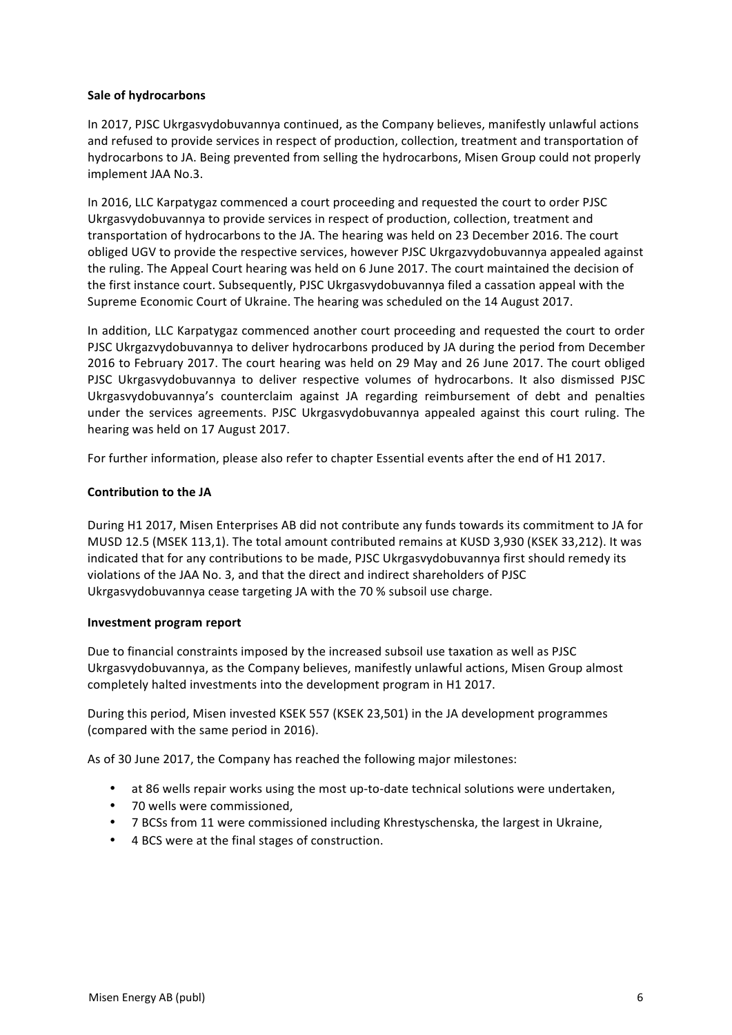#### **Sale of hydrocarbons**

In 2017, PJSC Ukrgasvydobuvannya continued, as the Company believes, manifestly unlawful actions and refused to provide services in respect of production, collection, treatment and transportation of hydrocarbons to JA. Being prevented from selling the hydrocarbons, Misen Group could not properly implement JAA No.3.

In 2016, LLC Karpatygaz commenced a court proceeding and requested the court to order PJSC Ukrgasvydobuvannya to provide services in respect of production, collection, treatment and transportation of hydrocarbons to the JA. The hearing was held on 23 December 2016. The court obliged UGV to provide the respective services, however PJSC Ukrgazvydobuvannya appealed against the ruling. The Appeal Court hearing was held on 6 June 2017. The court maintained the decision of the first instance court. Subsequently, PJSC Ukrgasvydobuvannya filed a cassation appeal with the Supreme Economic Court of Ukraine. The hearing was scheduled on the 14 August 2017.

In addition, LLC Karpatygaz commenced another court proceeding and requested the court to order PJSC Ukrgazvydobuvannya to deliver hydrocarbons produced by JA during the period from December 2016 to February 2017. The court hearing was held on 29 May and 26 June 2017. The court obliged PJSC Ukrgasvydobuvannya to deliver respective volumes of hydrocarbons. It also dismissed PJSC Ukrgasvydobuvannya's counterclaim against JA regarding reimbursement of debt and penalties under the services agreements. PJSC Ukrgasvydobuvannya appealed against this court ruling. The hearing was held on 17 August 2017.

For further information, please also refer to chapter Essential events after the end of H1 2017.

#### **Contribution to the JA**

During H1 2017, Misen Enterprises AB did not contribute any funds towards its commitment to JA for MUSD 12.5 (MSEK 113,1). The total amount contributed remains at KUSD 3,930 (KSEK 33,212). It was indicated that for any contributions to be made, PJSC Ukrgasvydobuvannya first should remedy its violations of the JAA No. 3, and that the direct and indirect shareholders of PJSC Ukrgasvydobuvannya cease targeting JA with the 70 % subsoil use charge.

#### **Investment program report**

Due to financial constraints imposed by the increased subsoil use taxation as well as PJSC Ukrgasvydobuvannya, as the Company believes, manifestly unlawful actions, Misen Group almost completely halted investments into the development program in H1 2017.

During this period, Misen invested KSEK 557 (KSEK 23,501) in the JA development programmes (compared with the same period in 2016).

As of 30 June 2017, the Company has reached the following major milestones:

- at 86 wells repair works using the most up-to-date technical solutions were undertaken,
- 70 wells were commissioned,
- 7 BCSs from 11 were commissioned including Khrestyschenska, the largest in Ukraine,
- 4 BCS were at the final stages of construction.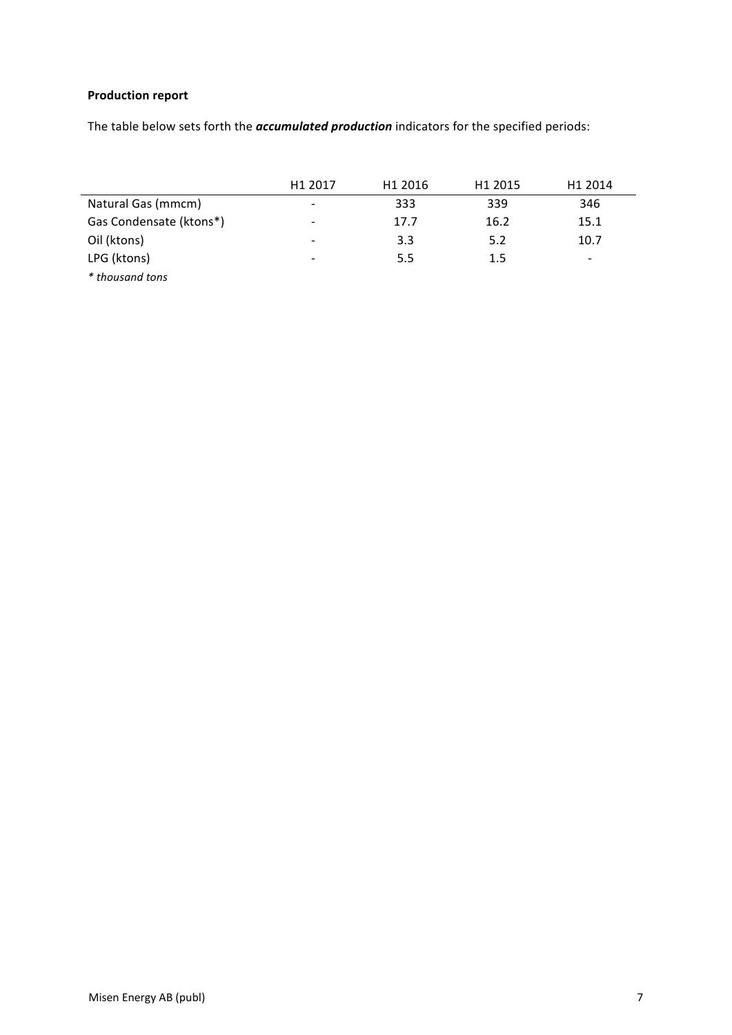# **Production report**

The table below sets forth the *accumulated production* indicators for the specified periods:

|                         | H <sub>1</sub> 2017      | H <sub>1</sub> 2016 | H <sub>1</sub> 2015 | H <sub>1</sub> 2014      |
|-------------------------|--------------------------|---------------------|---------------------|--------------------------|
| Natural Gas (mmcm)      | $\overline{\phantom{0}}$ | 333                 | 339                 | 346                      |
| Gas Condensate (ktons*) | $\overline{\phantom{0}}$ | 17.7                | 16.2                | 15.1                     |
| Oil (ktons)             |                          | 3.3                 | 5.2                 | 10.7                     |
| LPG (ktons)             |                          | 5.5                 | 1.5                 | $\overline{\phantom{0}}$ |
| * thousand tons         |                          |                     |                     |                          |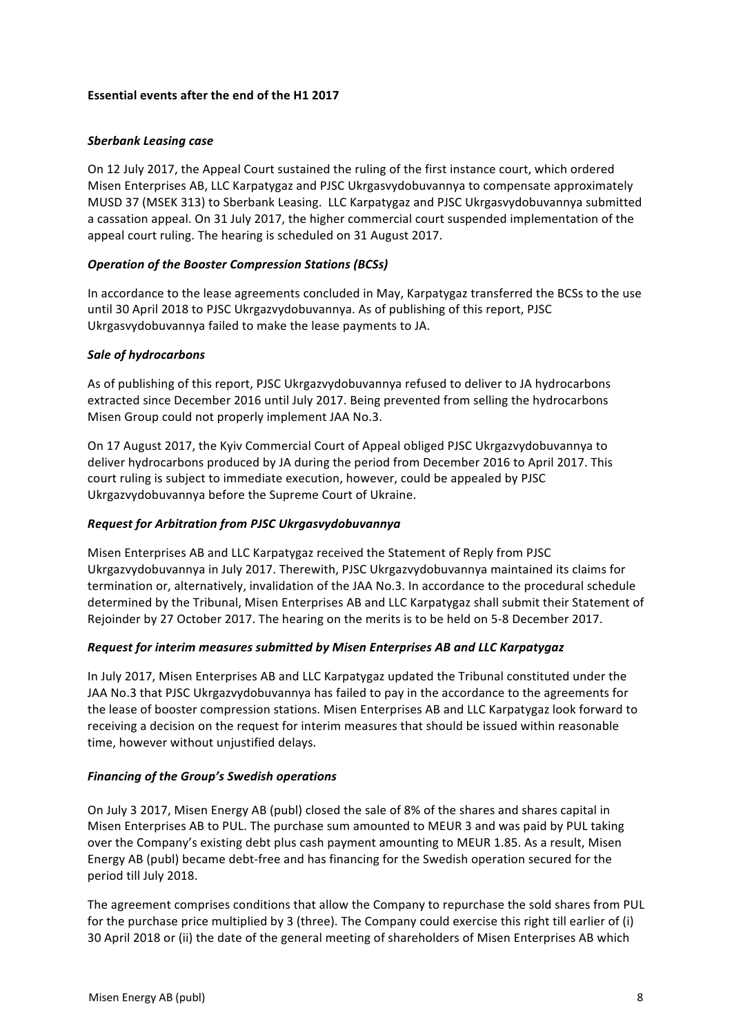#### **Essential events after the end of the H1 2017**

#### *Sberbank Leasing case*

On 12 July 2017, the Appeal Court sustained the ruling of the first instance court, which ordered Misen Enterprises AB, LLC Karpatygaz and PJSC Ukrgasvydobuvannya to compensate approximately MUSD 37 (MSEK 313) to Sberbank Leasing. LLC Karpatygaz and PJSC Ukrgasvydobuvannya submitted a cassation appeal. On 31 July 2017, the higher commercial court suspended implementation of the appeal court ruling. The hearing is scheduled on 31 August 2017.

## **Operation of the Booster Compression Stations (BCSs)**

In accordance to the lease agreements concluded in May, Karpatygaz transferred the BCSs to the use until 30 April 2018 to PJSC Ukrgazvydobuvannya. As of publishing of this report, PJSC Ukrgasvydobuvannya failed to make the lease payments to JA.

#### *Sale of hydrocarbons*

As of publishing of this report, PJSC Ukrgazvydobuvannya refused to deliver to JA hydrocarbons extracted since December 2016 until July 2017. Being prevented from selling the hydrocarbons Misen Group could not properly implement JAA No.3.

On 17 August 2017, the Kyiv Commercial Court of Appeal obliged PJSC Ukrgazvydobuvannya to deliver hydrocarbons produced by JA during the period from December 2016 to April 2017. This court ruling is subject to immediate execution, however, could be appealed by PJSC Ukrgazvydobuvannya before the Supreme Court of Ukraine.

## *Request for Arbitration from PJSC Ukrgasvydobuvannya*

Misen Enterprises AB and LLC Karpatygaz received the Statement of Reply from PJSC Ukrgazvydobuvannya in July 2017. Therewith, PJSC Ukrgazvydobuvannya maintained its claims for termination or, alternatively, invalidation of the JAA No.3. In accordance to the procedural schedule determined by the Tribunal, Misen Enterprises AB and LLC Karpatygaz shall submit their Statement of Rejoinder by 27 October 2017. The hearing on the merits is to be held on 5-8 December 2017.

#### *Request for interim measures submitted by Misen Enterprises AB and LLC Karpatygaz*

In July 2017, Misen Enterprises AB and LLC Karpatygaz updated the Tribunal constituted under the JAA No.3 that PJSC Ukrgazvydobuvannya has failed to pay in the accordance to the agreements for the lease of booster compression stations. Misen Enterprises AB and LLC Karpatygaz look forward to receiving a decision on the request for interim measures that should be issued within reasonable time, however without unjustified delays.

#### **Financing of the Group's Swedish operations**

On July 3 2017, Misen Energy AB (publ) closed the sale of 8% of the shares and shares capital in Misen Enterprises AB to PUL. The purchase sum amounted to MEUR 3 and was paid by PUL taking over the Company's existing debt plus cash payment amounting to MEUR 1.85. As a result, Misen Energy AB (publ) became debt-free and has financing for the Swedish operation secured for the period till July 2018.

The agreement comprises conditions that allow the Company to repurchase the sold shares from PUL for the purchase price multiplied by 3 (three). The Company could exercise this right till earlier of (i) 30 April 2018 or (ii) the date of the general meeting of shareholders of Misen Enterprises AB which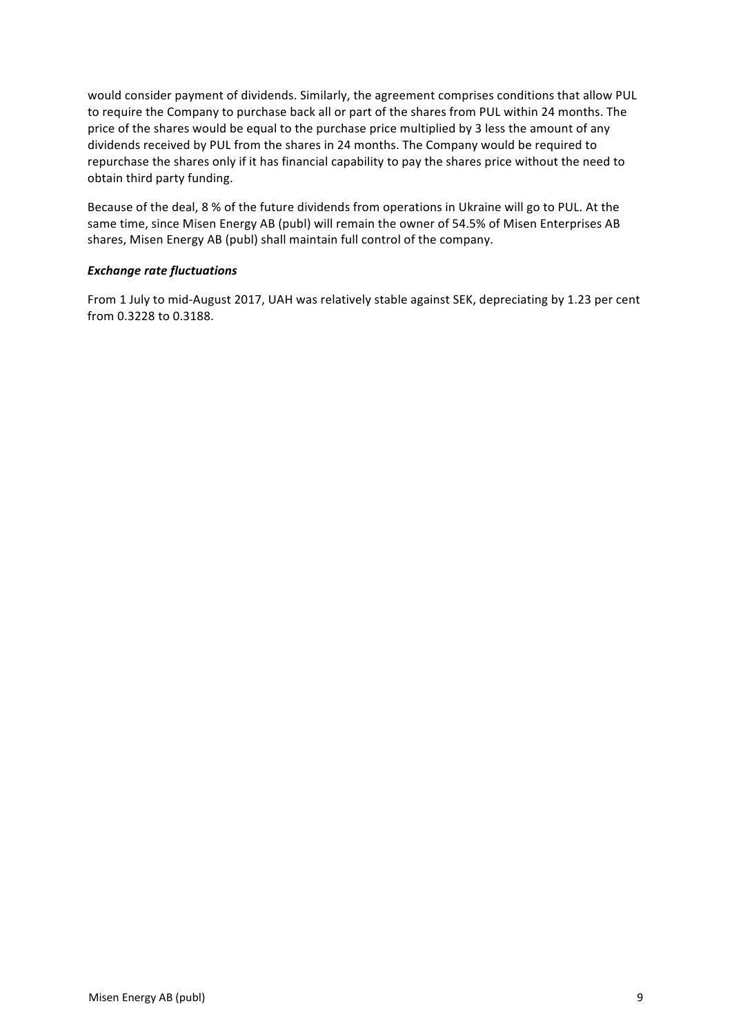would consider payment of dividends. Similarly, the agreement comprises conditions that allow PUL to require the Company to purchase back all or part of the shares from PUL within 24 months. The price of the shares would be equal to the purchase price multiplied by 3 less the amount of any dividends received by PUL from the shares in 24 months. The Company would be required to repurchase the shares only if it has financial capability to pay the shares price without the need to obtain third party funding.

Because of the deal, 8 % of the future dividends from operations in Ukraine will go to PUL. At the same time, since Misen Energy AB (publ) will remain the owner of 54.5% of Misen Enterprises AB shares, Misen Energy AB (publ) shall maintain full control of the company.

## *Exchange rate fluctuations*

From 1 July to mid-August 2017, UAH was relatively stable against SEK, depreciating by 1.23 per cent from 0.3228 to 0.3188.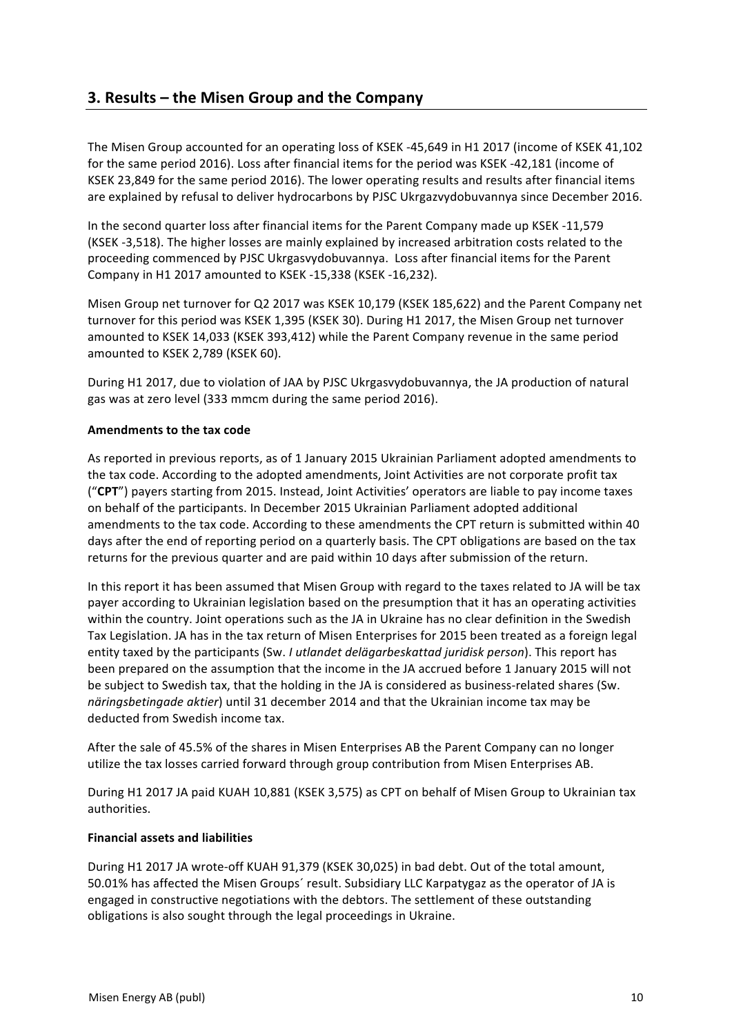# **3. Results – the Misen Group and the Company**

The Misen Group accounted for an operating loss of KSEK -45,649 in H1 2017 (income of KSEK 41,102 for the same period 2016). Loss after financial items for the period was KSEK -42,181 (income of KSEK 23,849 for the same period 2016). The lower operating results and results after financial items are explained by refusal to deliver hydrocarbons by PJSC Ukrgazvydobuvannya since December 2016.

In the second quarter loss after financial items for the Parent Company made up KSEK -11,579 (KSEK -3,518). The higher losses are mainly explained by increased arbitration costs related to the proceeding commenced by PJSC Ukrgasvydobuvannya. Loss after financial items for the Parent Company in H1 2017 amounted to KSEK -15,338 (KSEK -16,232).

Misen Group net turnover for Q2 2017 was KSEK 10,179 (KSEK 185,622) and the Parent Company net turnover for this period was KSEK 1,395 (KSEK 30). During H1 2017, the Misen Group net turnover amounted to KSEK 14,033 (KSEK 393,412) while the Parent Company revenue in the same period amounted to KSEK 2,789 (KSEK 60).

During H1 2017, due to violation of JAA by PJSC Ukrgasvydobuvannya, the JA production of natural gas was at zero level (333 mmcm during the same period 2016).

#### **Amendments to the tax code**

As reported in previous reports, as of 1 January 2015 Ukrainian Parliament adopted amendments to the tax code. According to the adopted amendments, Joint Activities are not corporate profit tax ("CPT") payers starting from 2015. Instead, Joint Activities' operators are liable to pay income taxes on behalf of the participants. In December 2015 Ukrainian Parliament adopted additional amendments to the tax code. According to these amendments the CPT return is submitted within 40 days after the end of reporting period on a quarterly basis. The CPT obligations are based on the tax returns for the previous quarter and are paid within 10 days after submission of the return.

In this report it has been assumed that Misen Group with regard to the taxes related to JA will be tax payer according to Ukrainian legislation based on the presumption that it has an operating activities within the country. Joint operations such as the JA in Ukraine has no clear definition in the Swedish Tax Legislation. JA has in the tax return of Misen Enterprises for 2015 been treated as a foreign legal entity taxed by the participants (Sw. *I utlandet delägarbeskattad juridisk person*). This report has been prepared on the assumption that the income in the JA accrued before 1 January 2015 will not be subject to Swedish tax, that the holding in the JA is considered as business-related shares (Sw. *näringsbetingade aktier*) until 31 december 2014 and that the Ukrainian income tax may be deducted from Swedish income tax.

After the sale of 45.5% of the shares in Misen Enterprises AB the Parent Company can no longer utilize the tax losses carried forward through group contribution from Misen Enterprises AB.

During H1 2017 JA paid KUAH 10,881 (KSEK 3,575) as CPT on behalf of Misen Group to Ukrainian tax authorities.

#### **Financial assets and liabilities**

During H1 2017 JA wrote-off KUAH 91,379 (KSEK 30,025) in bad debt. Out of the total amount, 50.01% has affected the Misen Groups' result. Subsidiary LLC Karpatygaz as the operator of JA is engaged in constructive negotiations with the debtors. The settlement of these outstanding obligations is also sought through the legal proceedings in Ukraine.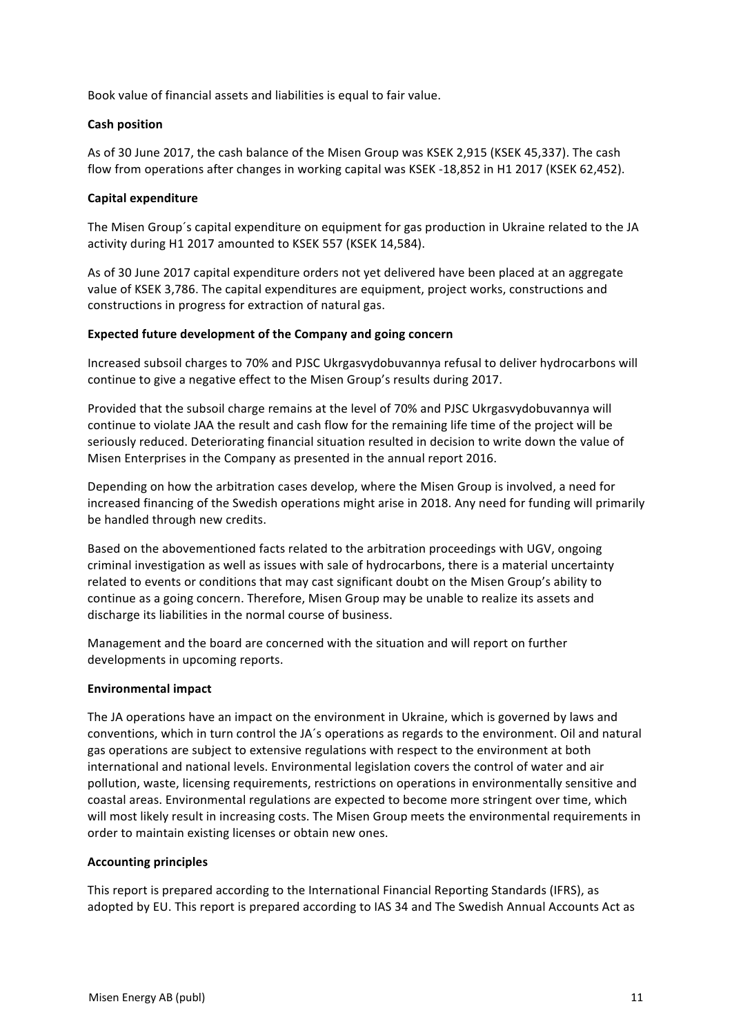Book value of financial assets and liabilities is equal to fair value.

## **Cash position**

As of 30 June 2017, the cash balance of the Misen Group was KSEK 2,915 (KSEK 45,337). The cash flow from operations after changes in working capital was KSEK -18,852 in H1 2017 (KSEK 62,452).

## **Capital expenditure**

The Misen Group's capital expenditure on equipment for gas production in Ukraine related to the JA activity during H1 2017 amounted to KSEK 557 (KSEK 14,584).

As of 30 June 2017 capital expenditure orders not yet delivered have been placed at an aggregate value of KSEK 3,786. The capital expenditures are equipment, project works, constructions and constructions in progress for extraction of natural gas.

## **Expected future development of the Company and going concern**

Increased subsoil charges to 70% and PJSC Ukrgasvydobuvannya refusal to deliver hydrocarbons will continue to give a negative effect to the Misen Group's results during 2017.

Provided that the subsoil charge remains at the level of 70% and PJSC Ukrgasvydobuvannya will continue to violate JAA the result and cash flow for the remaining life time of the project will be seriously reduced. Deteriorating financial situation resulted in decision to write down the value of Misen Enterprises in the Company as presented in the annual report 2016.

Depending on how the arbitration cases develop, where the Misen Group is involved, a need for increased financing of the Swedish operations might arise in 2018. Any need for funding will primarily be handled through new credits.

Based on the abovementioned facts related to the arbitration proceedings with UGV, ongoing criminal investigation as well as issues with sale of hydrocarbons, there is a material uncertainty related to events or conditions that may cast significant doubt on the Misen Group's ability to continue as a going concern. Therefore, Misen Group may be unable to realize its assets and discharge its liabilities in the normal course of business.

Management and the board are concerned with the situation and will report on further developments in upcoming reports.

#### **Environmental impact**

The JA operations have an impact on the environment in Ukraine, which is governed by laws and conventions, which in turn control the JA's operations as regards to the environment. Oil and natural gas operations are subject to extensive regulations with respect to the environment at both international and national levels. Environmental legislation covers the control of water and air pollution, waste, licensing requirements, restrictions on operations in environmentally sensitive and coastal areas. Environmental regulations are expected to become more stringent over time, which will most likely result in increasing costs. The Misen Group meets the environmental requirements in order to maintain existing licenses or obtain new ones.

#### **Accounting principles**

This report is prepared according to the International Financial Reporting Standards (IFRS), as adopted by EU. This report is prepared according to IAS 34 and The Swedish Annual Accounts Act as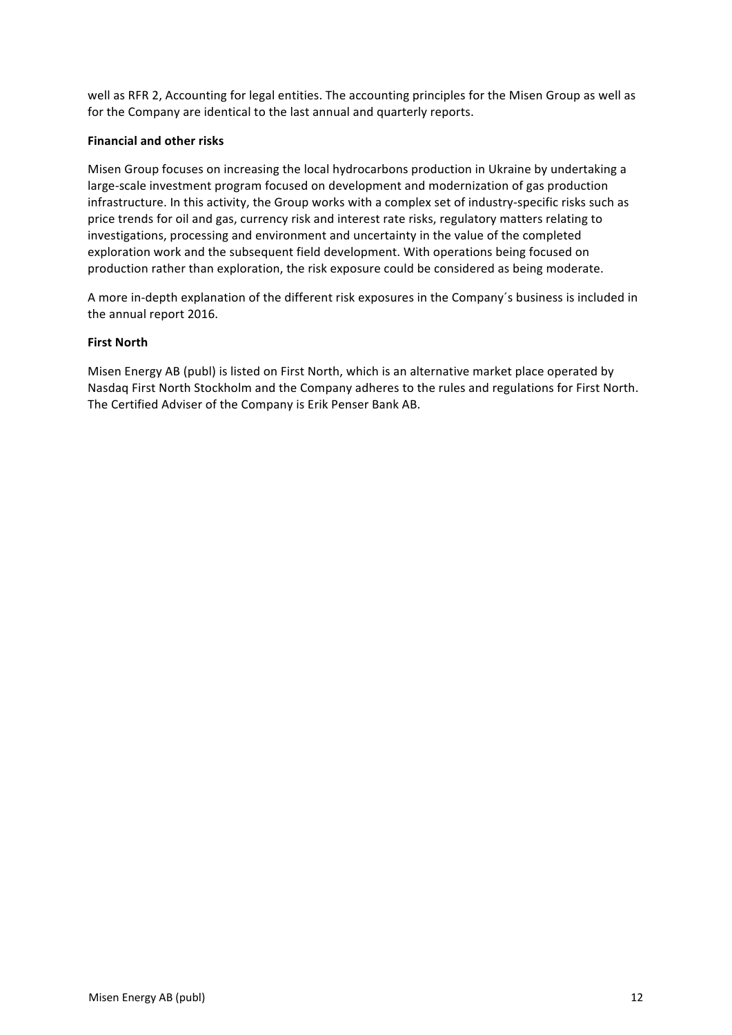well as RFR 2, Accounting for legal entities. The accounting principles for the Misen Group as well as for the Company are identical to the last annual and quarterly reports.

#### **Financial and other risks**

Misen Group focuses on increasing the local hydrocarbons production in Ukraine by undertaking a large-scale investment program focused on development and modernization of gas production infrastructure. In this activity, the Group works with a complex set of industry-specific risks such as price trends for oil and gas, currency risk and interest rate risks, regulatory matters relating to investigations, processing and environment and uncertainty in the value of the completed exploration work and the subsequent field development. With operations being focused on production rather than exploration, the risk exposure could be considered as being moderate.

A more in-depth explanation of the different risk exposures in the Company's business is included in the annual report 2016.

#### **First North**

Misen Energy AB (publ) is listed on First North, which is an alternative market place operated by Nasdaq First North Stockholm and the Company adheres to the rules and regulations for First North. The Certified Adviser of the Company is Erik Penser Bank AB.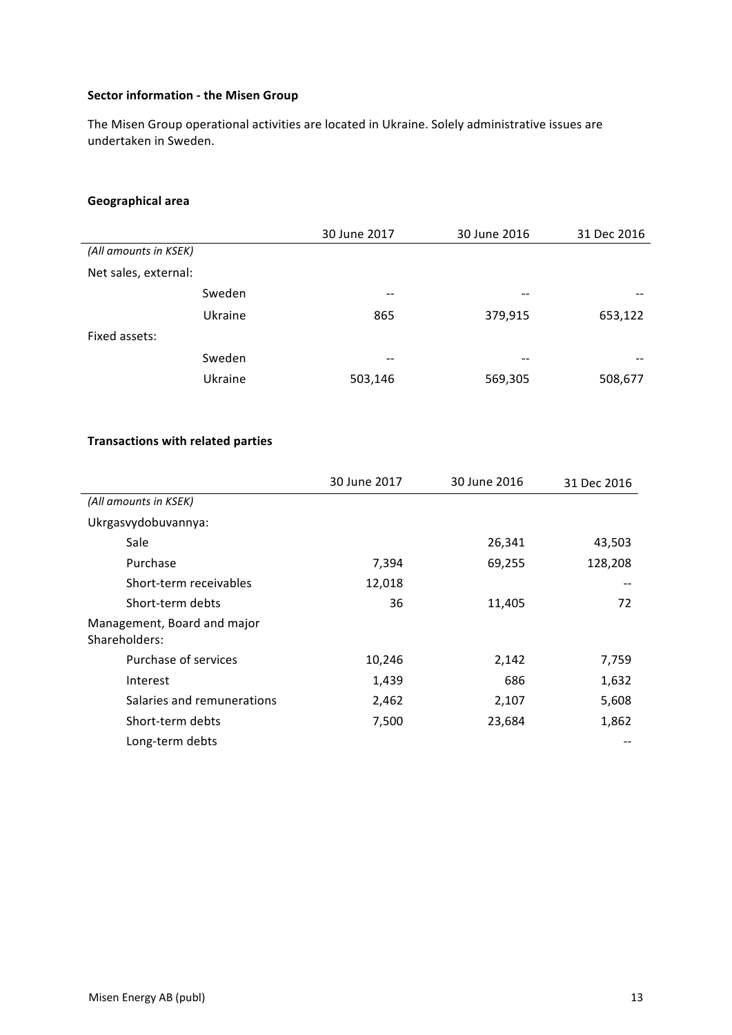## **Sector information - the Misen Group**

The Misen Group operational activities are located in Ukraine. Solely administrative issues are undertaken in Sweden.

# **Geographical area**

|                       | 30 June 2017 | 30 June 2016 | 31 Dec 2016 |
|-----------------------|--------------|--------------|-------------|
| (All amounts in KSEK) |              |              |             |
| Net sales, external:  |              |              |             |
| Sweden                | $- -$        | $- -$        | --          |
| Ukraine               | 865          | 379,915      | 653,122     |
| Fixed assets:         |              |              |             |
| Sweden                | --           | --           | --          |
| Ukraine               | 503,146      | 569,305      | 508,677     |

## **Transactions with related parties**

|                                              | 30 June 2017 | 30 June 2016 | 31 Dec 2016 |
|----------------------------------------------|--------------|--------------|-------------|
| (All amounts in KSEK)                        |              |              |             |
| Ukrgasvydobuvannya:                          |              |              |             |
| Sale                                         |              | 26,341       | 43,503      |
| Purchase                                     | 7,394        | 69,255       | 128,208     |
| Short-term receivables                       | 12,018       |              |             |
| Short-term debts                             | 36           | 11,405       | 72          |
| Management, Board and major<br>Shareholders: |              |              |             |
| Purchase of services                         | 10,246       | 2,142        | 7,759       |
| Interest                                     | 1,439        | 686          | 1,632       |
| Salaries and remunerations                   | 2,462        | 2,107        | 5,608       |
| Short-term debts                             | 7,500        | 23,684       | 1,862       |
| Long-term debts                              |              |              |             |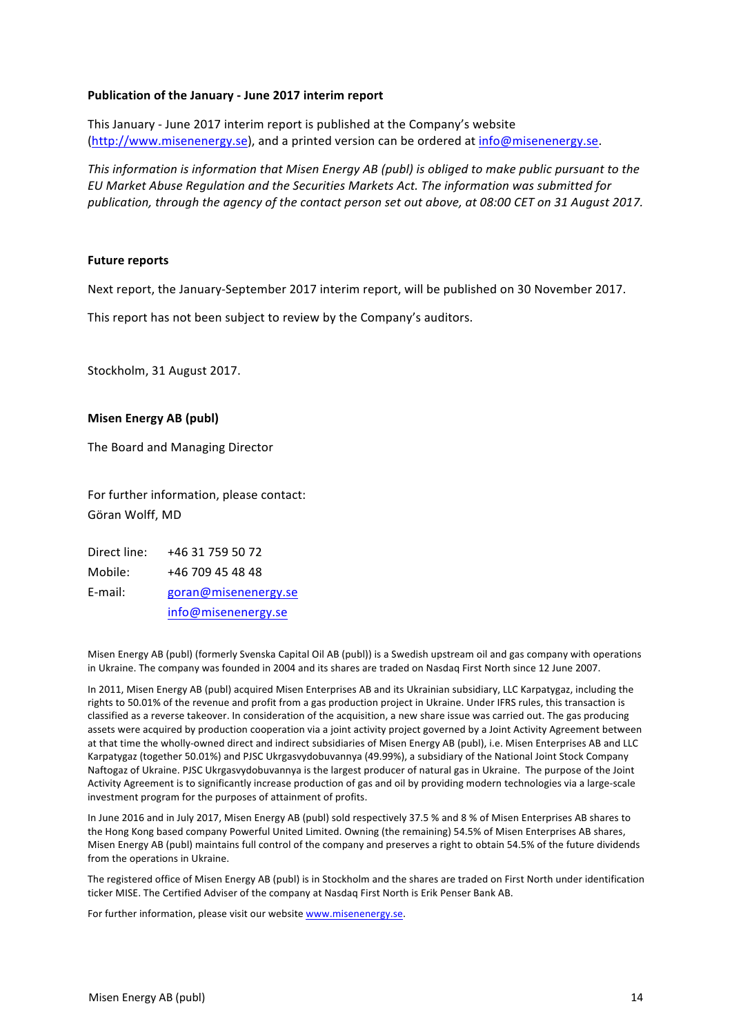#### **Publication of the January - June 2017 interim report**

This January - June 2017 interim report is published at the Company's website (http://www.misenenergy.se), and a printed version can be ordered at info@misenenergy.se.

*This information is information that Misen Energy AB (publ)* is obliged to make public pursuant to the *EU Market Abuse Regulation and the Securities Markets Act. The information was submitted for*  publication, through the agency of the contact person set out above, at 08:00 CET on 31 August 2017.

#### **Future reports**

Next report, the January-September 2017 interim report, will be published on 30 November 2017.

This report has not been subject to review by the Company's auditors.

Stockholm, 31 August 2017.

#### **Misen Energy AB (publ)**

The Board and Managing Director

For further information, please contact: Göran Wolff, MD

Direct line: +46 31 759 50 72 Mobile: +46 709 45 48 48 E-mail: goran@misenenergy.se info@misenenergy.se

Misen Energy AB (publ) (formerly Svenska Capital Oil AB (publ)) is a Swedish upstream oil and gas company with operations in Ukraine. The company was founded in 2004 and its shares are traded on Nasdaq First North since 12 June 2007.

In 2011, Misen Energy AB (publ) acquired Misen Enterprises AB and its Ukrainian subsidiary, LLC Karpatygaz, including the rights to 50.01% of the revenue and profit from a gas production project in Ukraine. Under IFRS rules, this transaction is classified as a reverse takeover. In consideration of the acquisition, a new share issue was carried out. The gas producing assets were acquired by production cooperation via a joint activity project governed by a Joint Activity Agreement between at that time the wholly-owned direct and indirect subsidiaries of Misen Energy AB (publ), i.e. Misen Enterprises AB and LLC Karpatygaz (together 50.01%) and PJSC Ukrgasvydobuvannya (49.99%), a subsidiary of the National Joint Stock Company Naftogaz of Ukraine. PJSC Ukrgasvydobuvannya is the largest producer of natural gas in Ukraine. The purpose of the Joint Activity Agreement is to significantly increase production of gas and oil by providing modern technologies via a large-scale investment program for the purposes of attainment of profits.

In June 2016 and in July 2017, Misen Energy AB (publ) sold respectively 37.5 % and 8 % of Misen Enterprises AB shares to the Hong Kong based company Powerful United Limited. Owning (the remaining) 54.5% of Misen Enterprises AB shares, Misen Energy AB (publ) maintains full control of the company and preserves a right to obtain 54.5% of the future dividends from the operations in Ukraine.

The registered office of Misen Energy AB (publ) is in Stockholm and the shares are traded on First North under identification ticker MISE. The Certified Adviser of the company at Nasdaq First North is Erik Penser Bank AB.

For further information, please visit our website www.misenenergy.se.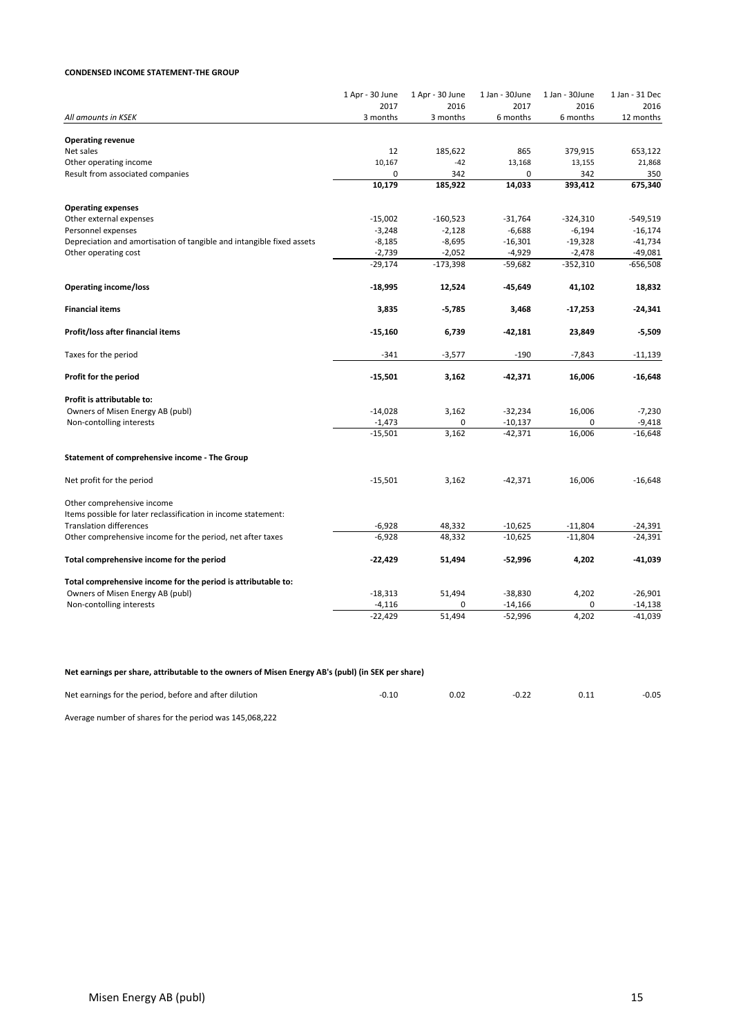#### **CONDENSED INCOME STATEMENT-THE GROUP**

|                                                                       | 1 Apr - 30 June  | 1 Apr - 30 June  | 1 Jan - 30June   | 1 Jan - 30June   | 1 Jan - 31 Dec    |
|-----------------------------------------------------------------------|------------------|------------------|------------------|------------------|-------------------|
| All amounts in KSEK                                                   | 2017<br>3 months | 2016<br>3 months | 2017<br>6 months | 2016<br>6 months | 2016<br>12 months |
|                                                                       |                  |                  |                  |                  |                   |
| <b>Operating revenue</b>                                              |                  |                  |                  |                  |                   |
| Net sales                                                             | 12               | 185,622          | 865              | 379,915          | 653,122           |
| Other operating income                                                | 10,167           | $-42$            | 13,168           | 13,155           | 21,868            |
| Result from associated companies                                      | $\mathbf 0$      | 342              | 0                | 342              | 350               |
|                                                                       | 10,179           | 185,922          | 14,033           | 393,412          | 675,340           |
| <b>Operating expenses</b>                                             |                  |                  |                  |                  |                   |
| Other external expenses                                               | $-15,002$        | $-160,523$       | $-31,764$        | $-324,310$       | $-549,519$        |
| Personnel expenses                                                    | $-3,248$         | $-2,128$         | $-6,688$         | $-6,194$         | $-16,174$         |
| Depreciation and amortisation of tangible and intangible fixed assets | -8,185           | $-8,695$         | $-16,301$        | $-19,328$        | $-41,734$         |
| Other operating cost                                                  | $-2,739$         | $-2,052$         | $-4,929$         | $-2,478$         | $-49,081$         |
|                                                                       | $-29,174$        | $-173,398$       | $-59,682$        | $-352,310$       | $-656,508$        |
| <b>Operating income/loss</b>                                          | $-18,995$        | 12,524           | -45,649          | 41,102           | 18,832            |
| <b>Financial items</b>                                                | 3,835            | $-5,785$         | 3,468            | $-17,253$        | $-24,341$         |
| Profit/loss after financial items                                     | $-15,160$        | 6,739            | $-42,181$        | 23,849           | $-5,509$          |
| Taxes for the period                                                  | $-341$           | $-3,577$         | $-190$           | $-7,843$         | $-11,139$         |
| Profit for the period                                                 | $-15,501$        | 3,162            | -42,371          | 16,006           | $-16,648$         |
| Profit is attributable to:                                            |                  |                  |                  |                  |                   |
| Owners of Misen Energy AB (publ)                                      | $-14,028$        | 3,162            | $-32,234$        | 16,006           | $-7,230$          |
| Non-contolling interests                                              | $-1,473$         | 0                | $-10,137$        |                  | $-9,418$          |
|                                                                       | $-15,501$        | 3,162            | $-42,371$        | 16,006           | $-16,648$         |
| Statement of comprehensive income - The Group                         |                  |                  |                  |                  |                   |
| Net profit for the period                                             | $-15,501$        | 3,162            | $-42,371$        | 16,006           | $-16,648$         |
| Other comprehensive income                                            |                  |                  |                  |                  |                   |
| Items possible for later reclassification in income statement:        |                  |                  |                  |                  |                   |
| <b>Translation differences</b>                                        | $-6,928$         | 48,332           | $-10,625$        | $-11,804$        | -24,391           |
| Other comprehensive income for the period, net after taxes            | $-6,928$         | 48,332           | $-10,625$        | $-11,804$        | $-24,391$         |
|                                                                       |                  |                  |                  |                  |                   |
| Total comprehensive income for the period                             | -22,429          | 51,494           | -52,996          | 4,202            | -41,039           |
| Total comprehensive income for the period is attributable to:         |                  |                  |                  |                  |                   |
| Owners of Misen Energy AB (publ)                                      | $-18,313$        | 51,494           | $-38,830$        | 4,202            | $-26,901$         |
| Non-contolling interests                                              | $-4,116$         | $\Omega$         | $-14,166$        | $\Omega$         | $-14,138$         |
|                                                                       | $-22,429$        | 51,494           | $-52,996$        | 4,202            | $-41,039$         |

#### Net earnings per share, attributable to the owners of Misen Energy AB's (publ) (in SEK per share)

| Net earnings for the period, before and after dilution | $-0.10$ | 0.02 | $-0.22$ | $-0.05$ |
|--------------------------------------------------------|---------|------|---------|---------|
| .<br>.                                                 |         |      |         |         |

Average number of shares for the period was 145,068,222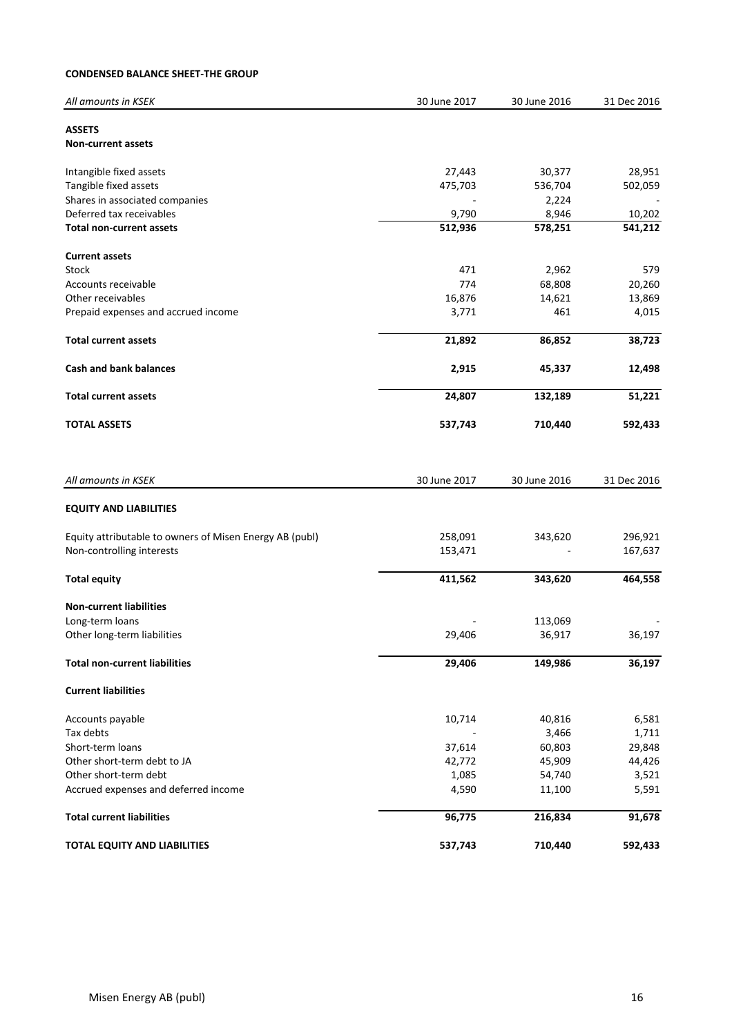#### **CONDENSED BALANCE SHEET-THE GROUP**

| All amounts in KSEK                                     | 30 June 2017 | 30 June 2016 | 31 Dec 2016 |
|---------------------------------------------------------|--------------|--------------|-------------|
| <b>ASSETS</b>                                           |              |              |             |
| <b>Non-current assets</b>                               |              |              |             |
| Intangible fixed assets                                 | 27,443       | 30,377       | 28,951      |
| Tangible fixed assets                                   | 475,703      | 536,704      | 502,059     |
| Shares in associated companies                          |              | 2,224        |             |
| Deferred tax receivables                                | 9,790        | 8,946        | 10,202      |
| <b>Total non-current assets</b>                         | 512,936      | 578,251      | 541,212     |
| <b>Current assets</b>                                   |              |              |             |
| Stock                                                   | 471          | 2,962        | 579         |
| Accounts receivable                                     | 774          | 68,808       | 20,260      |
| Other receivables                                       | 16,876       | 14,621       | 13,869      |
| Prepaid expenses and accrued income                     | 3,771        | 461          | 4,015       |
| <b>Total current assets</b>                             | 21,892       | 86,852       | 38,723      |
| <b>Cash and bank balances</b>                           | 2,915        | 45,337       | 12,498      |
| <b>Total current assets</b>                             | 24,807       | 132,189      | 51,221      |
| <b>TOTAL ASSETS</b>                                     | 537,743      | 710,440      | 592,433     |
| All amounts in KSEK                                     | 30 June 2017 | 30 June 2016 | 31 Dec 2016 |
| <b>EQUITY AND LIABILITIES</b>                           |              |              |             |
|                                                         |              |              |             |
| Equity attributable to owners of Misen Energy AB (publ) | 258,091      | 343,620      | 296,921     |
| Non-controlling interests                               | 153,471      |              | 167,637     |
| <b>Total equity</b>                                     | 411,562      | 343,620      | 464,558     |
| <b>Non-current liabilities</b>                          |              |              |             |
| Long-term loans                                         |              | 113,069      |             |
| Other long-term liabilities                             | 29,406       | 36,917       | 36,197      |
| <b>Total non-current liabilities</b>                    | 29,406       | 149,986      | 36,197      |
| <b>Current liabilities</b>                              |              |              |             |
| Accounts payable                                        | 10,714       | 40,816       | 6,581       |
| Tax debts                                               |              | 3,466        | 1,711       |
| Short-term loans                                        | 37,614       | 60,803       | 29,848      |
| Other short-term debt to JA                             | 42,772       | 45,909       | 44,426      |
| Other short-term debt                                   | 1,085        | 54,740       | 3,521       |
| Accrued expenses and deferred income                    | 4,590        | 11,100       | 5,591       |
| <b>Total current liabilities</b>                        | 96,775       | 216,834      | 91,678      |
| TOTAL EQUITY AND LIABILITIES                            | 537,743      | 710,440      | 592,433     |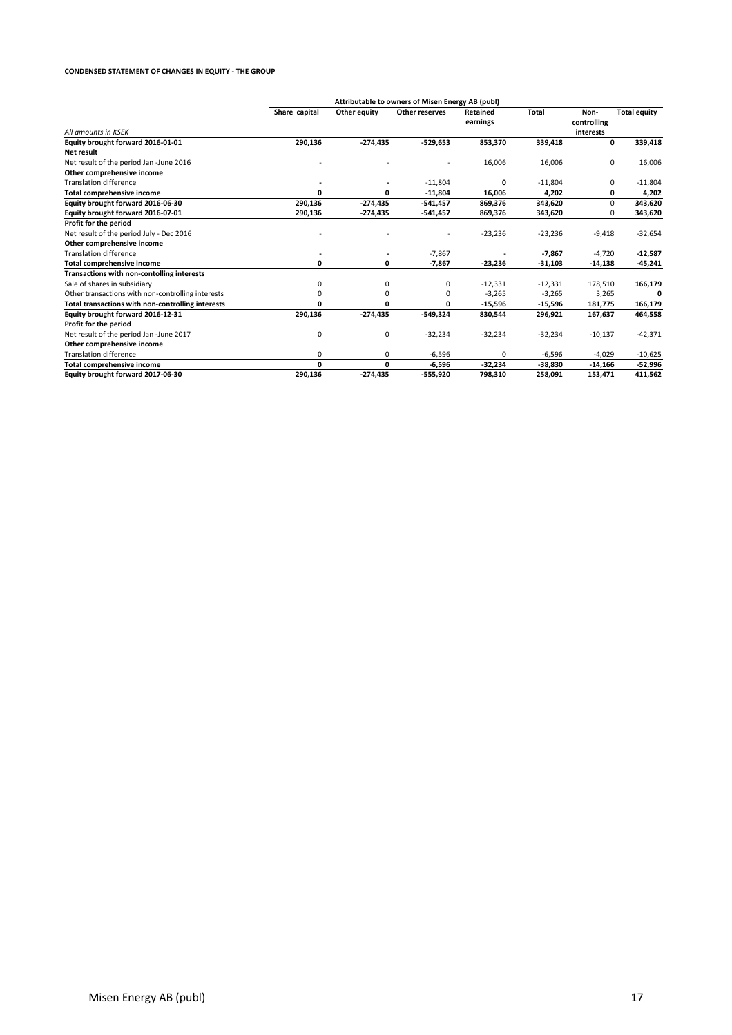#### **CONDENSED STATEMENT OF CHANGES IN EQUITY - THE GROUP**

|                                                   | Attributable to owners of Misen Energy AB (publ) |                          |                |                      |           |                                  |                     |
|---------------------------------------------------|--------------------------------------------------|--------------------------|----------------|----------------------|-----------|----------------------------------|---------------------|
| All amounts in KSFK                               | Share capital                                    | Other equity             | Other reserves | Retained<br>earnings | Total     | Non-<br>controlling<br>interests | <b>Total equity</b> |
| Equity brought forward 2016-01-01                 | 290,136                                          | $-274,435$               | $-529,653$     | 853,370              | 339,418   | 0                                | 339,418             |
| Net result                                        |                                                  |                          |                |                      |           |                                  |                     |
| Net result of the period Jan -June 2016           |                                                  |                          |                | 16,006               | 16,006    | 0                                | 16,006              |
| Other comprehensive income                        |                                                  |                          |                |                      |           |                                  |                     |
| <b>Translation difference</b>                     |                                                  |                          | $-11,804$      | 0                    | $-11,804$ | 0                                | $-11,804$           |
| <b>Total comprehensive income</b>                 | 0                                                | 0                        | $-11,804$      | 16,006               | 4,202     | 0                                | 4,202               |
| Equity brought forward 2016-06-30                 | 290,136                                          | $-274,435$               | $-541,457$     | 869,376              | 343,620   | 0                                | 343,620             |
| Equity brought forward 2016-07-01                 | 290,136                                          | -274,435                 | $-541,457$     | 869,376              | 343,620   | 0                                | 343,620             |
| Profit for the period                             |                                                  |                          |                |                      |           |                                  |                     |
| Net result of the period July - Dec 2016          |                                                  |                          |                | $-23,236$            | $-23,236$ | $-9,418$                         | $-32,654$           |
| Other comprehensive income                        |                                                  |                          |                |                      |           |                                  |                     |
| <b>Translation difference</b>                     | ٠                                                | $\overline{\phantom{a}}$ | $-7,867$       |                      | $-7,867$  | $-4,720$                         | $-12,587$           |
| <b>Total comprehensive income</b>                 | 0                                                | 0                        | $-7,867$       | $-23,236$            | $-31,103$ | $-14,138$                        | $-45,241$           |
| Transactions with non-contolling interests        |                                                  |                          |                |                      |           |                                  |                     |
| Sale of shares in subsidiary                      | 0                                                | 0                        | 0              | $-12,331$            | $-12,331$ | 178,510                          | 166,179             |
| Other transactions with non-controlling interests | 0                                                | 0                        | 0              | $-3,265$             | $-3,265$  | 3,265                            | 0                   |
| Total transactions with non-controlling interests | 0                                                | 0                        | 0              | $-15,596$            | $-15,596$ | 181,775                          | 166,179             |
| Equity brought forward 2016-12-31                 | 290,136                                          | $-274,435$               | $-549,324$     | 830,544              | 296,921   | 167,637                          | 464,558             |
| Profit for the period                             |                                                  |                          |                |                      |           |                                  |                     |
| Net result of the period Jan -June 2017           | 0                                                | 0                        | $-32,234$      | $-32,234$            | $-32,234$ | $-10,137$                        | $-42,371$           |
| Other comprehensive income                        |                                                  |                          |                |                      |           |                                  |                     |
| <b>Translation difference</b>                     | 0                                                | $\mathbf 0$              | $-6,596$       | $\Omega$             | $-6,596$  | $-4,029$                         | $-10,625$           |
| <b>Total comprehensive income</b>                 | 0                                                | 0                        | $-6,596$       | $-32,234$            | $-38,830$ | $-14,166$                        | -52,996             |
| Equity brought forward 2017-06-30                 | 290,136                                          | $-274,435$               | -555,920       | 798,310              | 258,091   | 153,471                          | 411,562             |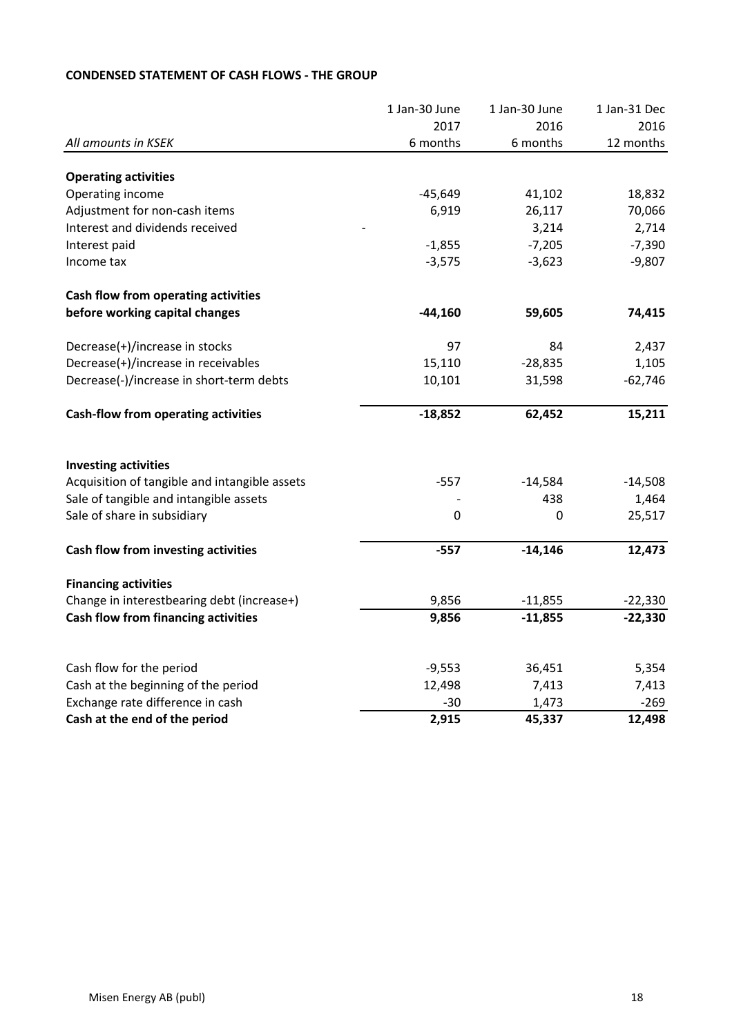|                                               | 1 Jan-30 June   | 1 Jan-30 June | 1 Jan-31 Dec |
|-----------------------------------------------|-----------------|---------------|--------------|
|                                               | 2017            | 2016          | 2016         |
| All amounts in KSEK                           | 6 months        | 6 months      | 12 months    |
| <b>Operating activities</b>                   |                 |               |              |
| Operating income                              | $-45,649$       | 41,102        | 18,832       |
| Adjustment for non-cash items                 | 6,919           | 26,117        | 70,066       |
| Interest and dividends received               |                 | 3,214         | 2,714        |
| Interest paid                                 | $-1,855$        | $-7,205$      | $-7,390$     |
| Income tax                                    | $-3,575$        | $-3,623$      | $-9,807$     |
| Cash flow from operating activities           |                 |               |              |
| before working capital changes                | $-44,160$       | 59,605        | 74,415       |
| Decrease(+)/increase in stocks                | 97              | 84            | 2,437        |
| Decrease(+)/increase in receivables           | 15,110          | $-28,835$     | 1,105        |
| Decrease(-)/increase in short-term debts      | 10,101          | 31,598        | $-62,746$    |
| <b>Cash-flow from operating activities</b>    | $-18,852$       | 62,452        | 15,211       |
| <b>Investing activities</b>                   |                 |               |              |
| Acquisition of tangible and intangible assets | $-557$          | $-14,584$     | $-14,508$    |
| Sale of tangible and intangible assets        |                 | 438           | 1,464        |
| Sale of share in subsidiary                   | 0               | 0             | 25,517       |
| Cash flow from investing activities           | $-557$          | $-14,146$     | 12,473       |
| <b>Financing activities</b>                   |                 |               |              |
| Change in interestbearing debt (increase+)    | 9,856           | $-11,855$     | $-22,330$    |
| Cash flow from financing activities           | 9,856           | $-11,855$     | $-22,330$    |
|                                               |                 |               |              |
| Cash flow for the period                      | $-9,553$        | 36,451        | 5,354        |
| Cash at the beginning of the period           | 12,498<br>$-30$ | 7,413         | 7,413        |
| Exchange rate difference in cash              | 2,915           | 1,473         | $-269$       |
| Cash at the end of the period                 |                 | 45,337        | 12,498       |

# **CONDENSED STATEMENT OF CASH FLOWS - THE GROUP**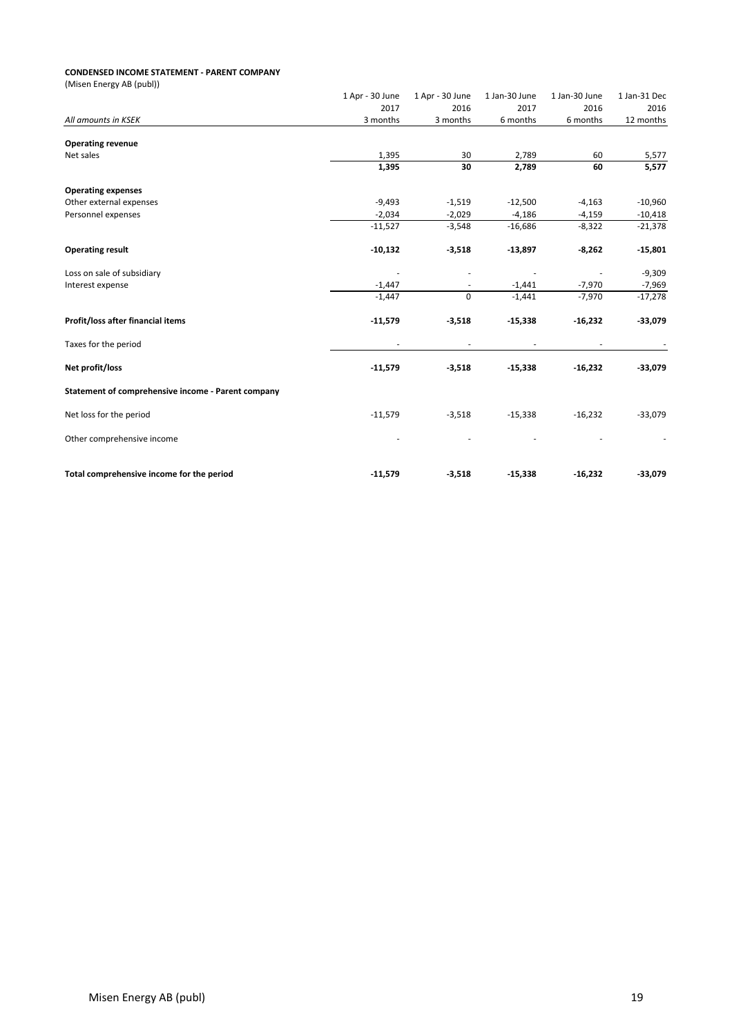#### **CONDENSED INCOME STATEMENT - PARENT COMPANY**

| (Misen Energy AB (publ))                           |                 |                          |               |               |              |
|----------------------------------------------------|-----------------|--------------------------|---------------|---------------|--------------|
|                                                    | 1 Apr - 30 June | 1 Apr - 30 June          | 1 Jan-30 June | 1 Jan-30 June | 1 Jan-31 Dec |
|                                                    | 2017            | 2016                     | 2017          | 2016          | 2016         |
| All amounts in KSEK                                | 3 months        | 3 months                 | 6 months      | 6 months      | 12 months    |
| <b>Operating revenue</b>                           |                 |                          |               |               |              |
| Net sales                                          | 1,395           | 30                       | 2,789         | 60            | 5,577        |
|                                                    | 1,395           | 30                       | 2,789         | 60            | 5,577        |
| <b>Operating expenses</b>                          |                 |                          |               |               |              |
| Other external expenses                            | $-9,493$        | $-1,519$                 | $-12,500$     | $-4,163$      | $-10,960$    |
| Personnel expenses                                 | $-2,034$        | $-2,029$                 | $-4,186$      | $-4,159$      | $-10,418$    |
|                                                    | $-11,527$       | $-3,548$                 | $-16,686$     | $-8,322$      | $-21,378$    |
| <b>Operating result</b>                            | $-10,132$       | $-3,518$                 | $-13,897$     | $-8,262$      | $-15,801$    |
| Loss on sale of subsidiary                         |                 |                          |               |               | $-9,309$     |
| Interest expense                                   | $-1,447$        | $\overline{\phantom{a}}$ | $-1,441$      | $-7,970$      | $-7,969$     |
|                                                    | $-1,447$        | $\mathbf 0$              | $-1,441$      | $-7,970$      | $-17,278$    |
| Profit/loss after financial items                  | $-11,579$       | $-3,518$                 | $-15,338$     | $-16,232$     | $-33,079$    |
| Taxes for the period                               |                 |                          |               |               |              |
| Net profit/loss                                    | $-11,579$       | $-3,518$                 | $-15,338$     | $-16,232$     | $-33,079$    |
| Statement of comprehensive income - Parent company |                 |                          |               |               |              |
| Net loss for the period                            | $-11,579$       | $-3,518$                 | $-15,338$     | $-16,232$     | $-33,079$    |
| Other comprehensive income                         |                 |                          |               |               |              |
| Total comprehensive income for the period          | $-11,579$       | $-3,518$                 | $-15,338$     | $-16,232$     | $-33,079$    |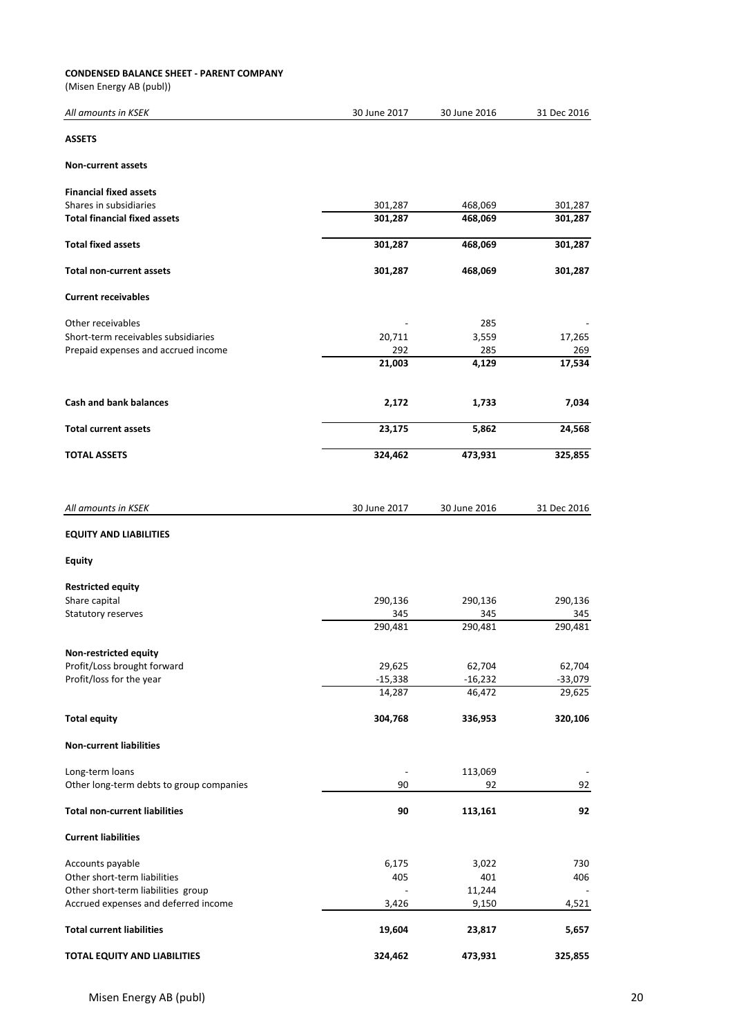#### **CONDENSED BALANCE SHEET - PARENT COMPANY**

(Misen Energy AB (publ))

| All amounts in KSEK                      | 30 June 2017 | 30 June 2016    | 31 Dec 2016 |
|------------------------------------------|--------------|-----------------|-------------|
| <b>ASSETS</b>                            |              |                 |             |
| <b>Non-current assets</b>                |              |                 |             |
| <b>Financial fixed assets</b>            |              |                 |             |
| Shares in subsidiaries                   | 301,287      | 468,069         | 301,287     |
| <b>Total financial fixed assets</b>      | 301,287      | 468,069         | 301,287     |
| <b>Total fixed assets</b>                | 301,287      | 468,069         | 301,287     |
| <b>Total non-current assets</b>          | 301,287      | 468,069         | 301,287     |
|                                          |              |                 |             |
| <b>Current receivables</b>               |              |                 |             |
| Other receivables                        |              | 285             |             |
| Short-term receivables subsidiaries      | 20,711       | 3,559           | 17,265      |
| Prepaid expenses and accrued income      | 292          | 285             | 269         |
|                                          | 21,003       | 4,129           | 17,534      |
| <b>Cash and bank balances</b>            | 2,172        | 1,733           | 7,034       |
| <b>Total current assets</b>              | 23,175       | 5,862           | 24,568      |
| <b>TOTAL ASSETS</b>                      | 324,462      | 473,931         | 325,855     |
|                                          |              |                 |             |
| All amounts in KSEK                      | 30 June 2017 | 30 June 2016    | 31 Dec 2016 |
| <b>EQUITY AND LIABILITIES</b>            |              |                 |             |
| <b>Equity</b>                            |              |                 |             |
| <b>Restricted equity</b>                 |              |                 |             |
| Share capital                            | 290,136      | 290,136         | 290,136     |
| Statutory reserves                       | 345          | 345             | 345         |
|                                          | 290,481      | 290,481         | 290,481     |
|                                          |              |                 |             |
| <b>Non-restricted equity</b>             |              |                 |             |
| Profit/Loss brought forward              | 29,625       | 62,704          | 62,704      |
| Profit/loss for the year                 | $-15,338$    | $-16,232$       | $-33,079$   |
|                                          | 14,287       | 46,472          | 29,625      |
| <b>Total equity</b>                      | 304,768      | 336,953         | 320,106     |
| <b>Non-current liabilities</b>           |              |                 |             |
| Long-term loans                          |              | 113,069         |             |
| Other long-term debts to group companies | 90           | 92              | 92          |
| <b>Total non-current liabilities</b>     | 90           | 113,161         | 92          |
| <b>Current liabilities</b>               |              |                 |             |
| Accounts payable                         | 6,175        | 3,022           | 730         |
| Other short-term liabilities             | 405          | 401             |             |
|                                          |              |                 | 406         |
| Other short-term liabilities group       |              | 11,244<br>9,150 |             |
| Accrued expenses and deferred income     | 3,426        |                 | 4,521       |
| <b>Total current liabilities</b>         | 19,604       | 23,817          | 5,657       |
| TOTAL EQUITY AND LIABILITIES             | 324,462      | 473,931         | 325,855     |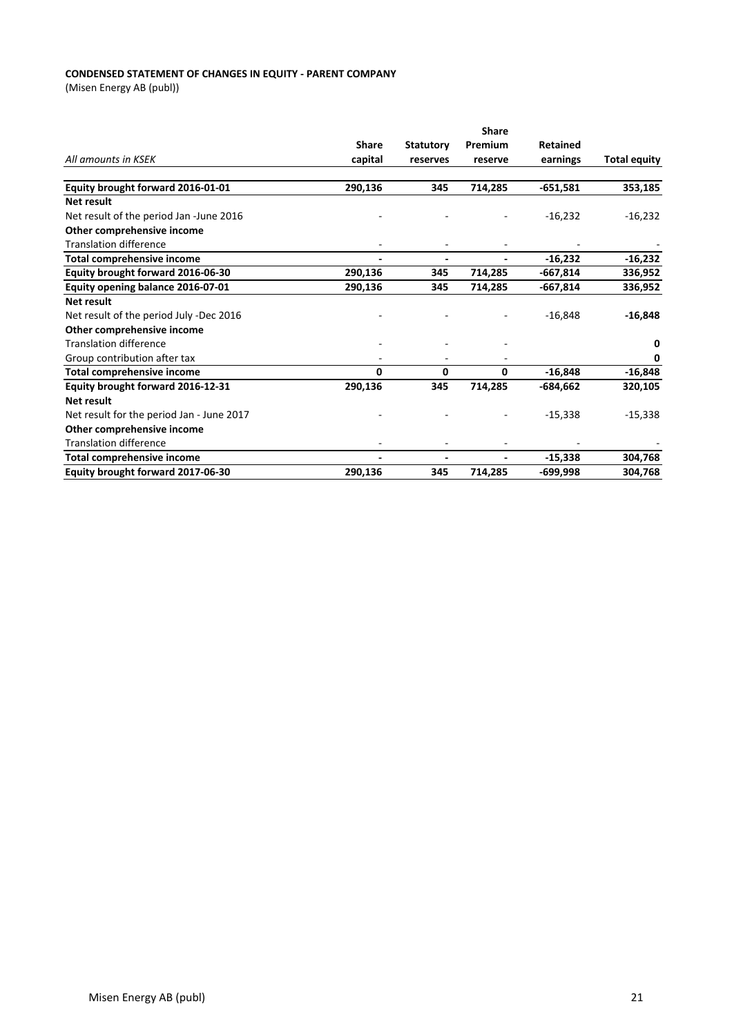#### **CONDENSED STATEMENT OF CHANGES IN EQUITY - PARENT COMPANY**

(Misen Energy AB (publ))

|                                           | <b>Share</b>             |                  |         |                 |                     |
|-------------------------------------------|--------------------------|------------------|---------|-----------------|---------------------|
|                                           | <b>Share</b>             | <b>Statutory</b> | Premium | <b>Retained</b> |                     |
| All amounts in KSEK                       | capital                  | reserves         | reserve | earnings        | <b>Total equity</b> |
|                                           |                          |                  |         |                 |                     |
| Equity brought forward 2016-01-01         | 290,136                  | 345              | 714,285 | $-651,581$      | 353,185             |
| Net result                                |                          |                  |         |                 |                     |
| Net result of the period Jan -June 2016   |                          |                  |         | $-16,232$       | $-16,232$           |
| Other comprehensive income                |                          |                  |         |                 |                     |
| <b>Translation difference</b>             |                          |                  |         |                 |                     |
| Total comprehensive income                | $\blacksquare$           |                  |         | $-16,232$       | $-16,232$           |
| Equity brought forward 2016-06-30         | 290,136                  | 345              | 714,285 | $-667,814$      | 336,952             |
| Equity opening balance 2016-07-01         | 290,136                  | 345              | 714,285 | $-667,814$      | 336,952             |
| <b>Net result</b>                         |                          |                  |         |                 |                     |
| Net result of the period July -Dec 2016   |                          |                  |         | $-16,848$       | $-16,848$           |
| Other comprehensive income                |                          |                  |         |                 |                     |
| <b>Translation difference</b>             |                          |                  |         |                 | n                   |
| Group contribution after tax              |                          |                  |         |                 | 0                   |
| <b>Total comprehensive income</b>         | 0                        | 0                | 0       | $-16,848$       | $-16,848$           |
| Equity brought forward 2016-12-31         | 290,136                  | 345              | 714,285 | $-684,662$      | 320,105             |
| <b>Net result</b>                         |                          |                  |         |                 |                     |
| Net result for the period Jan - June 2017 |                          |                  |         | $-15,338$       | $-15,338$           |
| Other comprehensive income                |                          |                  |         |                 |                     |
| <b>Translation difference</b>             |                          |                  |         |                 |                     |
| <b>Total comprehensive income</b>         | $\overline{\phantom{a}}$ |                  |         | $-15.338$       | 304,768             |
| Equity brought forward 2017-06-30         | 290,136                  | 345              | 714,285 | -699,998        | 304,768             |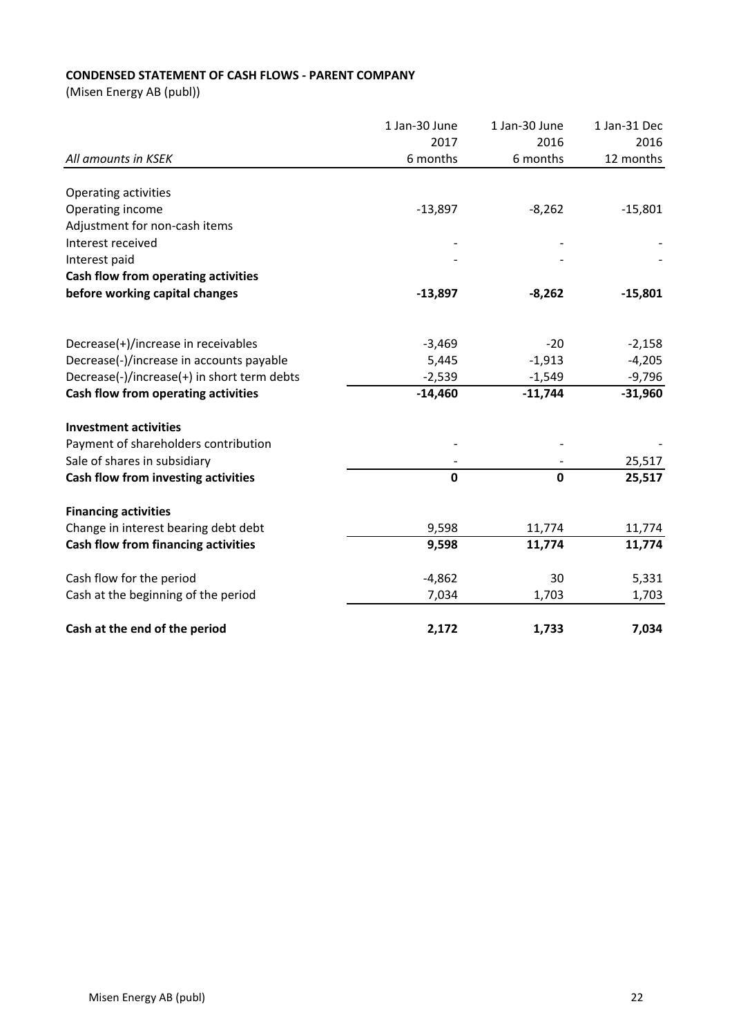# **CONDENSED STATEMENT OF CASH FLOWS - PARENT COMPANY**

(Misen Energy AB (publ))

| All amounts in KSEK                         | 1 Jan-30 June | 1 Jan-30 June<br>2016<br>6 months | 1 Jan-31 Dec<br>2016<br>12 months |
|---------------------------------------------|---------------|-----------------------------------|-----------------------------------|
|                                             | 2017          |                                   |                                   |
|                                             | 6 months      |                                   |                                   |
|                                             |               |                                   |                                   |
| Operating activities                        |               |                                   |                                   |
| Operating income                            | $-13,897$     | $-8,262$                          | $-15,801$                         |
| Adjustment for non-cash items               |               |                                   |                                   |
| Interest received                           |               |                                   |                                   |
| Interest paid                               |               |                                   |                                   |
| Cash flow from operating activities         |               |                                   |                                   |
| before working capital changes              | $-13,897$     | $-8,262$                          | $-15,801$                         |
| Decrease(+)/increase in receivables         | $-3,469$      | $-20$                             | $-2,158$                          |
|                                             |               |                                   |                                   |
| Decrease(-)/increase in accounts payable    | 5,445         | $-1,913$                          | $-4,205$                          |
| Decrease(-)/increase(+) in short term debts | $-2,539$      | $-1,549$                          | $-9,796$                          |
| Cash flow from operating activities         | $-14,460$     | $-11,744$                         | $-31,960$                         |
| <b>Investment activities</b>                |               |                                   |                                   |
| Payment of shareholders contribution        |               |                                   |                                   |
| Sale of shares in subsidiary                |               |                                   | 25,517                            |
| Cash flow from investing activities         | $\mathbf 0$   | $\mathbf 0$                       | 25,517                            |
| <b>Financing activities</b>                 |               |                                   |                                   |
| Change in interest bearing debt debt        | 9,598         | 11,774                            | 11,774                            |
| Cash flow from financing activities         | 9,598         | 11,774                            | 11,774                            |
| Cash flow for the period                    | $-4,862$      | 30                                | 5,331                             |
| Cash at the beginning of the period         | 7,034         | 1,703                             | 1,703                             |
| Cash at the end of the period               | 2,172         | 1,733                             | 7,034                             |